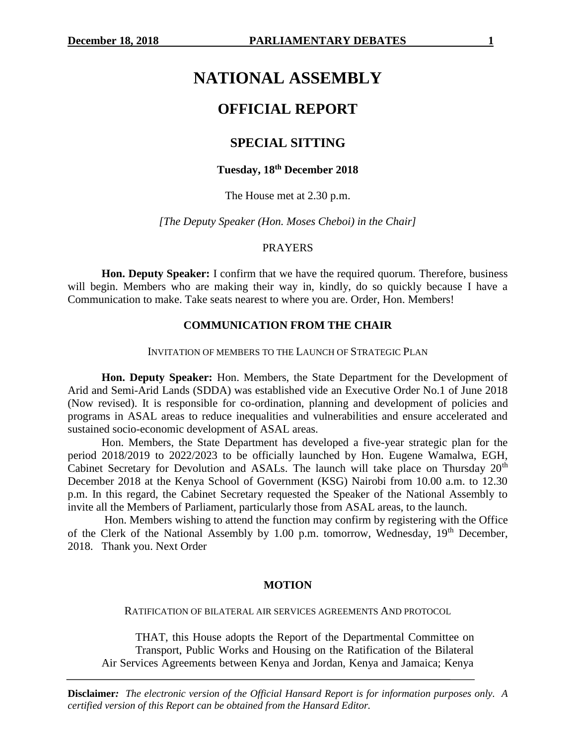# **NATIONAL ASSEMBLY**

# **OFFICIAL REPORT**

# **SPECIAL SITTING**

#### **Tuesday, 18th December 2018**

The House met at 2.30 p.m.

*[The Deputy Speaker (Hon. Moses Cheboi) in the Chair]*

#### PRAYERS

**Hon. Deputy Speaker:** I confirm that we have the required quorum. Therefore, business will begin. Members who are making their way in, kindly, do so quickly because I have a Communication to make. Take seats nearest to where you are. Order, Hon. Members!

#### **COMMUNICATION FROM THE CHAIR**

#### INVITATION OF MEMBERS TO THE LAUNCH OF STRATEGIC PLAN

**Hon. Deputy Speaker:** Hon. Members, the State Department for the Development of Arid and Semi-Arid Lands (SDDA) was established vide an Executive Order No.1 of June 2018 (Now revised). It is responsible for co-ordination, planning and development of policies and programs in ASAL areas to reduce inequalities and vulnerabilities and ensure accelerated and sustained socio-economic development of ASAL areas.

Hon. Members, the State Department has developed a five-year strategic plan for the period 2018/2019 to 2022/2023 to be officially launched by Hon. Eugene Wamalwa, EGH, Cabinet Secretary for Devolution and ASALs. The launch will take place on Thursday 20<sup>th</sup> December 2018 at the Kenya School of Government (KSG) Nairobi from 10.00 a.m. to 12.30 p.m. In this regard, the Cabinet Secretary requested the Speaker of the National Assembly to invite all the Members of Parliament, particularly those from ASAL areas, to the launch.

Hon. Members wishing to attend the function may confirm by registering with the Office of the Clerk of the National Assembly by 1.00 p.m. tomorrow, Wednesday,  $19<sup>th</sup>$  December, 2018. Thank you. Next Order

#### **MOTION**

RATIFICATION OF BILATERAL AIR SERVICES AGREEMENTS AND PROTOCOL

THAT, this House adopts the Report of the Departmental Committee on Transport, Public Works and Housing on the Ratification of the Bilateral Air Services Agreements between Kenya and Jordan, Kenya and Jamaica; Kenya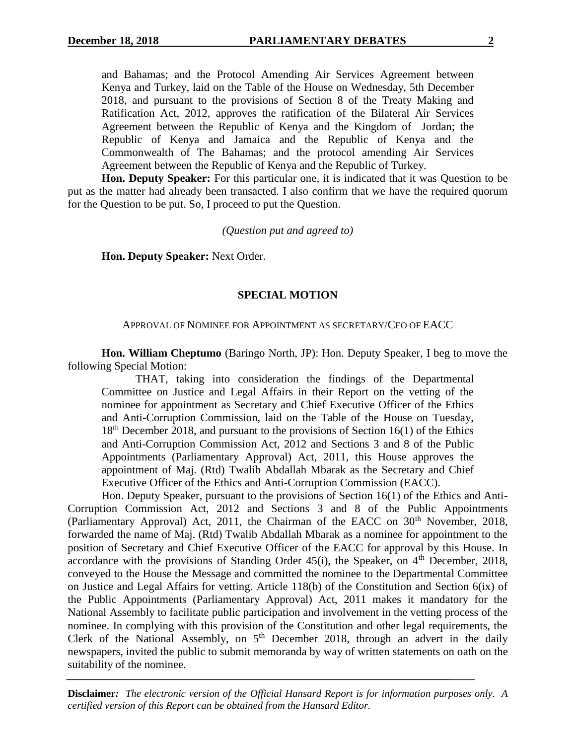and Bahamas; and the Protocol Amending Air Services Agreement between Kenya and Turkey, laid on the Table of the House on Wednesday, 5th December 2018, and pursuant to the provisions of Section 8 of the Treaty Making and Ratification Act, 2012, approves the ratification of the Bilateral Air Services Agreement between the Republic of Kenya and the Kingdom of Jordan; the Republic of Kenya and Jamaica and the Republic of Kenya and the Commonwealth of The Bahamas; and the protocol amending Air Services Agreement between the Republic of Kenya and the Republic of Turkey.

**Hon. Deputy Speaker:** For this particular one, it is indicated that it was Question to be put as the matter had already been transacted. I also confirm that we have the required quorum for the Question to be put. So, I proceed to put the Question.

*(Question put and agreed to)*

**Hon. Deputy Speaker:** Next Order.

#### **SPECIAL MOTION**

#### APPROVAL OF NOMINEE FOR APPOINTMENT AS SECRETARY/CEO OF EACC

**Hon. William Cheptumo** (Baringo North, JP): Hon. Deputy Speaker, I beg to move the following Special Motion:

THAT, taking into consideration the findings of the Departmental Committee on Justice and Legal Affairs in their Report on the vetting of the nominee for appointment as Secretary and Chief Executive Officer of the Ethics and Anti-Corruption Commission, laid on the Table of the House on Tuesday,  $18<sup>th</sup>$  December 2018, and pursuant to the provisions of Section 16(1) of the Ethics and Anti-Corruption Commission Act, 2012 and Sections 3 and 8 of the Public Appointments (Parliamentary Approval) Act, 2011, this House approves the appointment of Maj. (Rtd) Twalib Abdallah Mbarak as the Secretary and Chief Executive Officer of the Ethics and Anti-Corruption Commission (EACC).

Hon. Deputy Speaker, pursuant to the provisions of Section 16(1) of the Ethics and Anti-Corruption Commission Act, 2012 and Sections 3 and 8 of the Public Appointments (Parliamentary Approval) Act, 2011, the Chairman of the EACC on 30<sup>th</sup> November, 2018, forwarded the name of Maj. (Rtd) Twalib Abdallah Mbarak as a nominee for appointment to the position of Secretary and Chief Executive Officer of the EACC for approval by this House. In accordance with the provisions of Standing Order  $45(i)$ , the Speaker, on  $4<sup>th</sup>$  December, 2018, conveyed to the House the Message and committed the nominee to the Departmental Committee on Justice and Legal Affairs for vetting. Article 118(b) of the Constitution and Section 6(ix) of the Public Appointments (Parliamentary Approval) Act, 2011 makes it mandatory for the National Assembly to facilitate public participation and involvement in the vetting process of the nominee. In complying with this provision of the Constitution and other legal requirements, the Clerk of the National Assembly, on  $5<sup>th</sup>$  December 2018, through an advert in the daily newspapers, invited the public to submit memoranda by way of written statements on oath on the suitability of the nominee.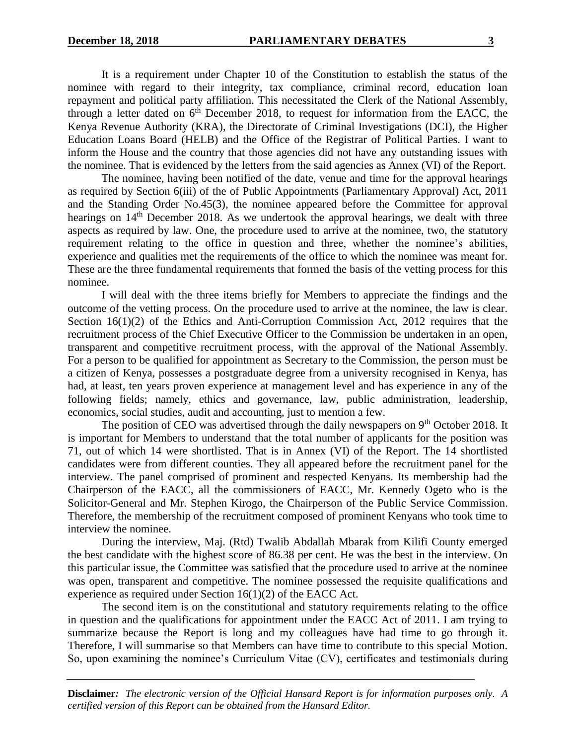It is a requirement under Chapter 10 of the Constitution to establish the status of the nominee with regard to their integrity, tax compliance, criminal record, education loan repayment and political party affiliation. This necessitated the Clerk of the National Assembly, through a letter dated on  $6<sup>th</sup>$  December 2018, to request for information from the EACC, the Kenya Revenue Authority (KRA), the Directorate of Criminal Investigations (DCI), the Higher Education Loans Board (HELB) and the Office of the Registrar of Political Parties. I want to inform the House and the country that those agencies did not have any outstanding issues with the nominee. That is evidenced by the letters from the said agencies as Annex (VI) of the Report.

The nominee, having been notified of the date, venue and time for the approval hearings as required by Section 6(iii) of the of Public Appointments (Parliamentary Approval) Act, 2011 and the Standing Order No.45(3), the nominee appeared before the Committee for approval hearings on 14<sup>th</sup> December 2018. As we undertook the approval hearings, we dealt with three aspects as required by law. One, the procedure used to arrive at the nominee, two, the statutory requirement relating to the office in question and three, whether the nominee's abilities, experience and qualities met the requirements of the office to which the nominee was meant for. These are the three fundamental requirements that formed the basis of the vetting process for this nominee.

I will deal with the three items briefly for Members to appreciate the findings and the outcome of the vetting process. On the procedure used to arrive at the nominee, the law is clear. Section 16(1)(2) of the Ethics and Anti-Corruption Commission Act, 2012 requires that the recruitment process of the Chief Executive Officer to the Commission be undertaken in an open, transparent and competitive recruitment process, with the approval of the National Assembly. For a person to be qualified for appointment as Secretary to the Commission, the person must be a citizen of Kenya, possesses a postgraduate degree from a university recognised in Kenya, has had, at least, ten years proven experience at management level and has experience in any of the following fields; namely, ethics and governance, law, public administration, leadership, economics, social studies, audit and accounting, just to mention a few.

The position of CEO was advertised through the daily newspapers on  $9<sup>th</sup>$  October 2018. It is important for Members to understand that the total number of applicants for the position was 71, out of which 14 were shortlisted. That is in Annex (VI) of the Report. The 14 shortlisted candidates were from different counties. They all appeared before the recruitment panel for the interview. The panel comprised of prominent and respected Kenyans. Its membership had the Chairperson of the EACC, all the commissioners of EACC, Mr. Kennedy Ogeto who is the Solicitor-General and Mr. Stephen Kirogo, the Chairperson of the Public Service Commission. Therefore, the membership of the recruitment composed of prominent Kenyans who took time to interview the nominee.

During the interview, Maj. (Rtd) Twalib Abdallah Mbarak from Kilifi County emerged the best candidate with the highest score of 86.38 per cent. He was the best in the interview. On this particular issue, the Committee was satisfied that the procedure used to arrive at the nominee was open, transparent and competitive. The nominee possessed the requisite qualifications and experience as required under Section 16(1)(2) of the EACC Act.

The second item is on the constitutional and statutory requirements relating to the office in question and the qualifications for appointment under the EACC Act of 2011. I am trying to summarize because the Report is long and my colleagues have had time to go through it. Therefore, I will summarise so that Members can have time to contribute to this special Motion. So, upon examining the nominee's Curriculum Vitae (CV), certificates and testimonials during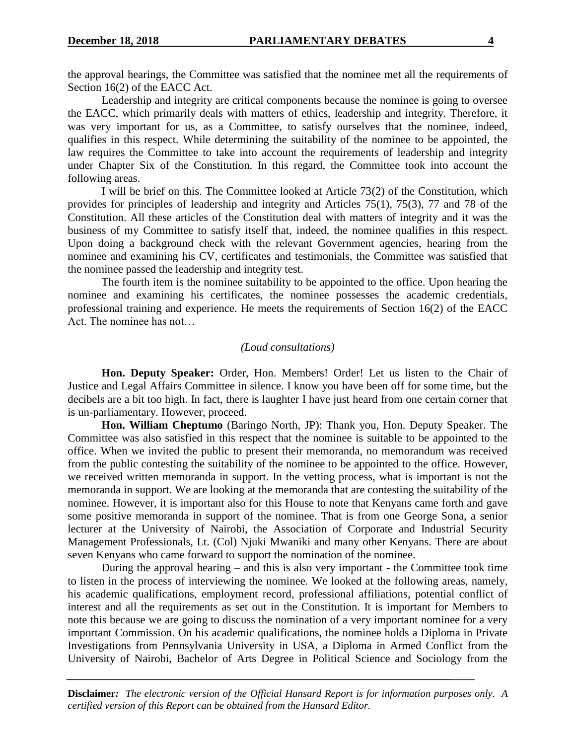the approval hearings, the Committee was satisfied that the nominee met all the requirements of Section 16(2) of the EACC Act.

Leadership and integrity are critical components because the nominee is going to oversee the EACC, which primarily deals with matters of ethics, leadership and integrity. Therefore, it was very important for us, as a Committee, to satisfy ourselves that the nominee, indeed, qualifies in this respect. While determining the suitability of the nominee to be appointed, the law requires the Committee to take into account the requirements of leadership and integrity under Chapter Six of the Constitution. In this regard, the Committee took into account the following areas.

I will be brief on this. The Committee looked at Article 73(2) of the Constitution, which provides for principles of leadership and integrity and Articles 75(1), 75(3), 77 and 78 of the Constitution. All these articles of the Constitution deal with matters of integrity and it was the business of my Committee to satisfy itself that, indeed, the nominee qualifies in this respect. Upon doing a background check with the relevant Government agencies, hearing from the nominee and examining his CV, certificates and testimonials, the Committee was satisfied that the nominee passed the leadership and integrity test.

The fourth item is the nominee suitability to be appointed to the office. Upon hearing the nominee and examining his certificates, the nominee possesses the academic credentials, professional training and experience. He meets the requirements of Section 16(2) of the EACC Act. The nominee has not…

#### *(Loud consultations)*

**Hon. Deputy Speaker:** Order, Hon. Members! Order! Let us listen to the Chair of Justice and Legal Affairs Committee in silence. I know you have been off for some time, but the decibels are a bit too high. In fact, there is laughter I have just heard from one certain corner that is un-parliamentary. However, proceed.

**Hon. William Cheptumo** (Baringo North, JP): Thank you, Hon. Deputy Speaker. The Committee was also satisfied in this respect that the nominee is suitable to be appointed to the office. When we invited the public to present their memoranda, no memorandum was received from the public contesting the suitability of the nominee to be appointed to the office. However, we received written memoranda in support. In the vetting process, what is important is not the memoranda in support. We are looking at the memoranda that are contesting the suitability of the nominee. However, it is important also for this House to note that Kenyans came forth and gave some positive memoranda in support of the nominee. That is from one George Sona, a senior lecturer at the University of Nairobi, the Association of Corporate and Industrial Security Management Professionals, Lt. (Col) Njuki Mwaniki and many other Kenyans. There are about seven Kenyans who came forward to support the nomination of the nominee.

During the approval hearing – and this is also very important - the Committee took time to listen in the process of interviewing the nominee. We looked at the following areas, namely, his academic qualifications, employment record, professional affiliations, potential conflict of interest and all the requirements as set out in the Constitution. It is important for Members to note this because we are going to discuss the nomination of a very important nominee for a very important Commission. On his academic qualifications, the nominee holds a Diploma in Private Investigations from Pennsylvania University in USA, a Diploma in Armed Conflict from the University of Nairobi, Bachelor of Arts Degree in Political Science and Sociology from the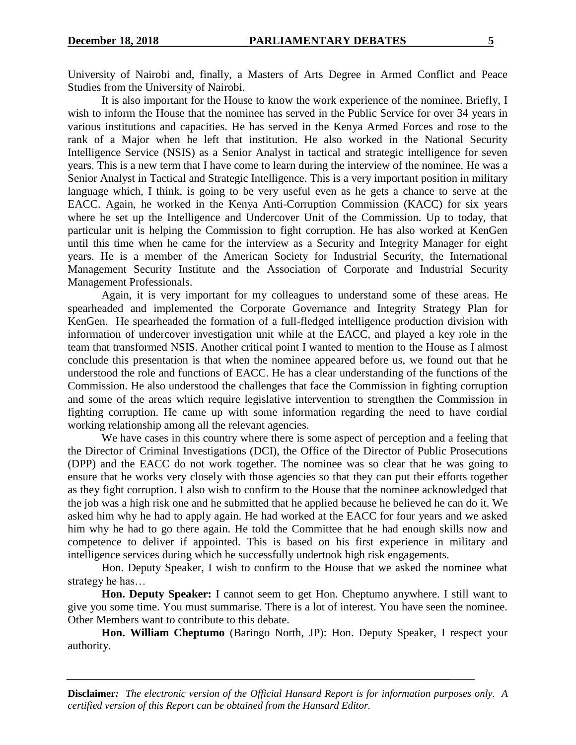University of Nairobi and, finally, a Masters of Arts Degree in Armed Conflict and Peace Studies from the University of Nairobi.

It is also important for the House to know the work experience of the nominee. Briefly, I wish to inform the House that the nominee has served in the Public Service for over 34 years in various institutions and capacities. He has served in the Kenya Armed Forces and rose to the rank of a Major when he left that institution. He also worked in the National Security Intelligence Service (NSIS) as a Senior Analyst in tactical and strategic intelligence for seven years. This is a new term that I have come to learn during the interview of the nominee. He was a Senior Analyst in Tactical and Strategic Intelligence. This is a very important position in military language which, I think, is going to be very useful even as he gets a chance to serve at the EACC. Again, he worked in the Kenya Anti-Corruption Commission (KACC) for six years where he set up the Intelligence and Undercover Unit of the Commission. Up to today, that particular unit is helping the Commission to fight corruption. He has also worked at KenGen until this time when he came for the interview as a Security and Integrity Manager for eight years. He is a member of the American Society for Industrial Security, the International Management Security Institute and the Association of Corporate and Industrial Security Management Professionals.

Again, it is very important for my colleagues to understand some of these areas. He spearheaded and implemented the Corporate Governance and Integrity Strategy Plan for KenGen. He spearheaded the formation of a full-fledged intelligence production division with information of undercover investigation unit while at the EACC, and played a key role in the team that transformed NSIS. Another critical point I wanted to mention to the House as I almost conclude this presentation is that when the nominee appeared before us, we found out that he understood the role and functions of EACC. He has a clear understanding of the functions of the Commission. He also understood the challenges that face the Commission in fighting corruption and some of the areas which require legislative intervention to strengthen the Commission in fighting corruption. He came up with some information regarding the need to have cordial working relationship among all the relevant agencies.

We have cases in this country where there is some aspect of perception and a feeling that the Director of Criminal Investigations (DCI), the Office of the Director of Public Prosecutions (DPP) and the EACC do not work together. The nominee was so clear that he was going to ensure that he works very closely with those agencies so that they can put their efforts together as they fight corruption. I also wish to confirm to the House that the nominee acknowledged that the job was a high risk one and he submitted that he applied because he believed he can do it. We asked him why he had to apply again. He had worked at the EACC for four years and we asked him why he had to go there again. He told the Committee that he had enough skills now and competence to deliver if appointed. This is based on his first experience in military and intelligence services during which he successfully undertook high risk engagements.

Hon. Deputy Speaker, I wish to confirm to the House that we asked the nominee what strategy he has…

**Hon. Deputy Speaker:** I cannot seem to get Hon. Cheptumo anywhere. I still want to give you some time. You must summarise. There is a lot of interest. You have seen the nominee. Other Members want to contribute to this debate.

**Hon. William Cheptumo** (Baringo North, JP): Hon. Deputy Speaker, I respect your authority.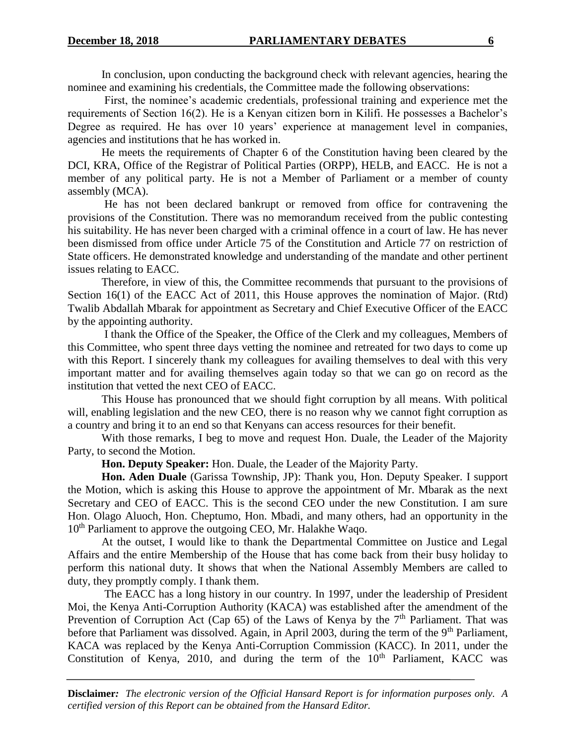In conclusion, upon conducting the background check with relevant agencies, hearing the nominee and examining his credentials, the Committee made the following observations:

First, the nominee's academic credentials, professional training and experience met the requirements of Section 16(2). He is a Kenyan citizen born in Kilifi. He possesses a Bachelor's Degree as required. He has over 10 years' experience at management level in companies, agencies and institutions that he has worked in.

He meets the requirements of Chapter 6 of the Constitution having been cleared by the DCI, KRA, Office of the Registrar of Political Parties (ORPP), HELB, and EACC. He is not a member of any political party. He is not a Member of Parliament or a member of county assembly (MCA).

He has not been declared bankrupt or removed from office for contravening the provisions of the Constitution. There was no memorandum received from the public contesting his suitability. He has never been charged with a criminal offence in a court of law. He has never been dismissed from office under Article 75 of the Constitution and Article 77 on restriction of State officers. He demonstrated knowledge and understanding of the mandate and other pertinent issues relating to EACC.

Therefore, in view of this, the Committee recommends that pursuant to the provisions of Section 16(1) of the EACC Act of 2011, this House approves the nomination of Major. (Rtd) Twalib Abdallah Mbarak for appointment as Secretary and Chief Executive Officer of the EACC by the appointing authority.

I thank the Office of the Speaker, the Office of the Clerk and my colleagues, Members of this Committee, who spent three days vetting the nominee and retreated for two days to come up with this Report. I sincerely thank my colleagues for availing themselves to deal with this very important matter and for availing themselves again today so that we can go on record as the institution that vetted the next CEO of EACC.

This House has pronounced that we should fight corruption by all means. With political will, enabling legislation and the new CEO, there is no reason why we cannot fight corruption as a country and bring it to an end so that Kenyans can access resources for their benefit.

With those remarks, I beg to move and request Hon. Duale, the Leader of the Majority Party, to second the Motion.

**Hon. Deputy Speaker:** Hon. Duale, the Leader of the Majority Party.

**Hon. Aden Duale** (Garissa Township, JP): Thank you, Hon. Deputy Speaker. I support the Motion, which is asking this House to approve the appointment of Mr. Mbarak as the next Secretary and CEO of EACC. This is the second CEO under the new Constitution. I am sure Hon. Olago Aluoch, Hon. Cheptumo, Hon. Mbadi, and many others, had an opportunity in the 10<sup>th</sup> Parliament to approve the outgoing CEO, Mr. Halakhe Waqo.

At the outset, I would like to thank the Departmental Committee on Justice and Legal Affairs and the entire Membership of the House that has come back from their busy holiday to perform this national duty. It shows that when the National Assembly Members are called to duty, they promptly comply. I thank them.

The EACC has a long history in our country. In 1997, under the leadership of President Moi, the Kenya Anti-Corruption Authority (KACA) was established after the amendment of the Prevention of Corruption Act (Cap 65) of the Laws of Kenya by the  $7<sup>th</sup>$  Parliament. That was before that Parliament was dissolved. Again, in April 2003, during the term of the 9<sup>th</sup> Parliament, KACA was replaced by the Kenya Anti-Corruption Commission (KACC). In 2011, under the Constitution of Kenya, 2010, and during the term of the  $10<sup>th</sup>$  Parliament, KACC was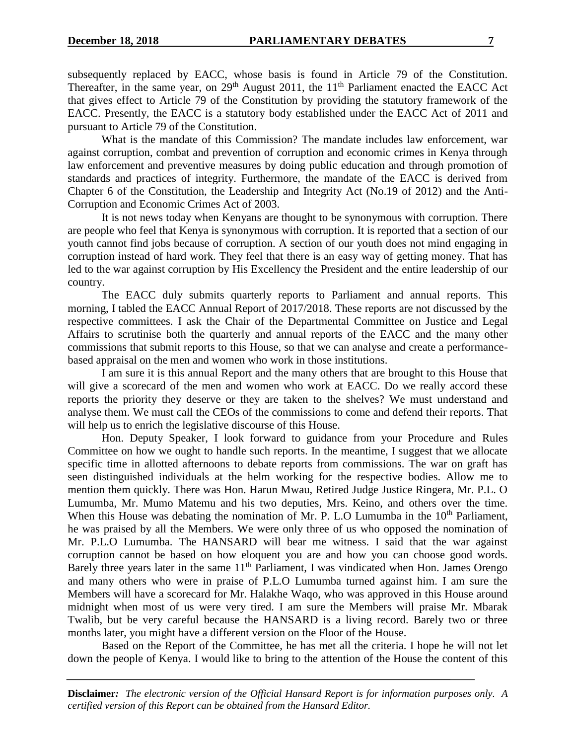subsequently replaced by EACC, whose basis is found in Article 79 of the Constitution. Thereafter, in the same year, on 29<sup>th</sup> August 2011, the 11<sup>th</sup> Parliament enacted the EACC Act that gives effect to Article 79 of the Constitution by providing the statutory framework of the EACC. Presently, the EACC is a statutory body established under the EACC Act of 2011 and pursuant to Article 79 of the Constitution.

What is the mandate of this Commission? The mandate includes law enforcement, war against corruption, combat and prevention of corruption and economic crimes in Kenya through law enforcement and preventive measures by doing public education and through promotion of standards and practices of integrity. Furthermore, the mandate of the EACC is derived from Chapter 6 of the Constitution, the Leadership and Integrity Act (No.19 of 2012) and the Anti-Corruption and Economic Crimes Act of 2003.

It is not news today when Kenyans are thought to be synonymous with corruption. There are people who feel that Kenya is synonymous with corruption. It is reported that a section of our youth cannot find jobs because of corruption. A section of our youth does not mind engaging in corruption instead of hard work. They feel that there is an easy way of getting money. That has led to the war against corruption by His Excellency the President and the entire leadership of our country.

The EACC duly submits quarterly reports to Parliament and annual reports. This morning, I tabled the EACC Annual Report of 2017/2018. These reports are not discussed by the respective committees. I ask the Chair of the Departmental Committee on Justice and Legal Affairs to scrutinise both the quarterly and annual reports of the EACC and the many other commissions that submit reports to this House, so that we can analyse and create a performancebased appraisal on the men and women who work in those institutions.

I am sure it is this annual Report and the many others that are brought to this House that will give a scorecard of the men and women who work at EACC. Do we really accord these reports the priority they deserve or they are taken to the shelves? We must understand and analyse them. We must call the CEOs of the commissions to come and defend their reports. That will help us to enrich the legislative discourse of this House.

Hon. Deputy Speaker, I look forward to guidance from your Procedure and Rules Committee on how we ought to handle such reports. In the meantime, I suggest that we allocate specific time in allotted afternoons to debate reports from commissions. The war on graft has seen distinguished individuals at the helm working for the respective bodies. Allow me to mention them quickly. There was Hon. Harun Mwau, Retired Judge Justice Ringera, Mr. P.L. O Lumumba, Mr. Mumo Matemu and his two deputies, Mrs. Keino, and others over the time. When this House was debating the nomination of Mr. P. L.O Lumumba in the 10<sup>th</sup> Parliament, he was praised by all the Members. We were only three of us who opposed the nomination of Mr. P.L.O Lumumba. The HANSARD will bear me witness. I said that the war against corruption cannot be based on how eloquent you are and how you can choose good words. Barely three years later in the same 11<sup>th</sup> Parliament, I was vindicated when Hon. James Orengo and many others who were in praise of P.L.O Lumumba turned against him. I am sure the Members will have a scorecard for Mr. Halakhe Waqo, who was approved in this House around midnight when most of us were very tired. I am sure the Members will praise Mr. Mbarak Twalib, but be very careful because the HANSARD is a living record. Barely two or three months later, you might have a different version on the Floor of the House.

Based on the Report of the Committee, he has met all the criteria. I hope he will not let down the people of Kenya. I would like to bring to the attention of the House the content of this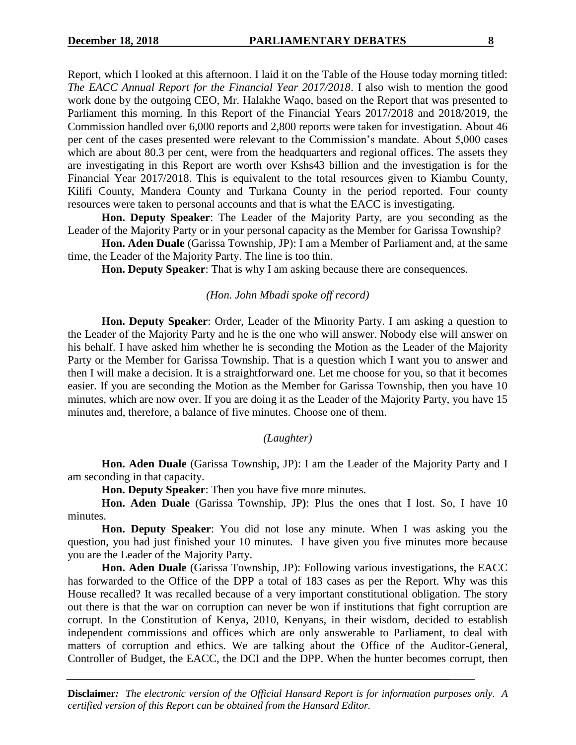Report, which I looked at this afternoon. I laid it on the Table of the House today morning titled: *The EACC Annual Report for the Financial Year 2017/2018*. I also wish to mention the good work done by the outgoing CEO, Mr. Halakhe Waqo, based on the Report that was presented to Parliament this morning. In this Report of the Financial Years 2017/2018 and 2018/2019, the Commission handled over 6,000 reports and 2,800 reports were taken for investigation. About 46 per cent of the cases presented were relevant to the Commission's mandate. About 5,000 cases which are about 80.3 per cent, were from the headquarters and regional offices. The assets they are investigating in this Report are worth over Kshs43 billion and the investigation is for the Financial Year 2017/2018. This is equivalent to the total resources given to Kiambu County, Kilifi County, Mandera County and Turkana County in the period reported. Four county resources were taken to personal accounts and that is what the EACC is investigating.

**Hon. Deputy Speaker**: The Leader of the Majority Party, are you seconding as the Leader of the Majority Party or in your personal capacity as the Member for Garissa Township?

**Hon. Aden Duale** (Garissa Township, JP): I am a Member of Parliament and, at the same time, the Leader of the Majority Party. The line is too thin.

**Hon. Deputy Speaker**: That is why I am asking because there are consequences.

#### *(Hon. John Mbadi spoke off record)*

**Hon. Deputy Speaker**: Order, Leader of the Minority Party. I am asking a question to the Leader of the Majority Party and he is the one who will answer. Nobody else will answer on his behalf. I have asked him whether he is seconding the Motion as the Leader of the Majority Party or the Member for Garissa Township. That is a question which I want you to answer and then I will make a decision. It is a straightforward one. Let me choose for you, so that it becomes easier. If you are seconding the Motion as the Member for Garissa Township, then you have 10 minutes, which are now over. If you are doing it as the Leader of the Majority Party, you have 15 minutes and, therefore, a balance of five minutes. Choose one of them.

#### *(Laughter)*

**Hon. Aden Duale** (Garissa Township, JP): I am the Leader of the Majority Party and I am seconding in that capacity.

**Hon. Deputy Speaker**: Then you have five more minutes.

**Hon. Aden Duale** (Garissa Township, JP**)**: Plus the ones that I lost. So, I have 10 minutes.

**Hon. Deputy Speaker**: You did not lose any minute. When I was asking you the question, you had just finished your 10 minutes. I have given you five minutes more because you are the Leader of the Majority Party.

**Hon. Aden Duale** (Garissa Township, JP): Following various investigations, the EACC has forwarded to the Office of the DPP a total of 183 cases as per the Report. Why was this House recalled? It was recalled because of a very important constitutional obligation. The story out there is that the war on corruption can never be won if institutions that fight corruption are corrupt. In the Constitution of Kenya, 2010, Kenyans, in their wisdom, decided to establish independent commissions and offices which are only answerable to Parliament, to deal with matters of corruption and ethics. We are talking about the Office of the Auditor-General, Controller of Budget, the EACC, the DCI and the DPP. When the hunter becomes corrupt, then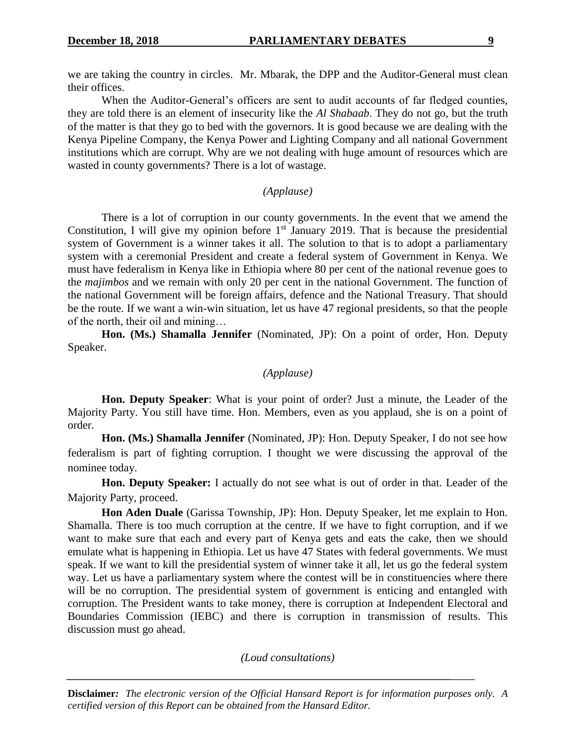we are taking the country in circles. Mr. Mbarak, the DPP and the Auditor-General must clean their offices.

When the Auditor-General's officers are sent to audit accounts of far fledged counties, they are told there is an element of insecurity like the *Al Shabaab*. They do not go, but the truth of the matter is that they go to bed with the governors. It is good because we are dealing with the Kenya Pipeline Company, the Kenya Power and Lighting Company and all national Government institutions which are corrupt. Why are we not dealing with huge amount of resources which are wasted in county governments? There is a lot of wastage.

#### *(Applause)*

There is a lot of corruption in our county governments. In the event that we amend the Constitution, I will give my opinion before  $1<sup>st</sup>$  January 2019. That is because the presidential system of Government is a winner takes it all. The solution to that is to adopt a parliamentary system with a ceremonial President and create a federal system of Government in Kenya. We must have federalism in Kenya like in Ethiopia where 80 per cent of the national revenue goes to the *majimbos* and we remain with only 20 per cent in the national Government. The function of the national Government will be foreign affairs, defence and the National Treasury. That should be the route. If we want a win-win situation, let us have 47 regional presidents, so that the people of the north, their oil and mining…

**Hon. (Ms.) Shamalla Jennifer** (Nominated, JP): On a point of order, Hon. Deputy Speaker.

# *(Applause)*

**Hon. Deputy Speaker**: What is your point of order? Just a minute, the Leader of the Majority Party. You still have time. Hon. Members, even as you applaud, she is on a point of order.

**Hon. (Ms.) Shamalla Jennifer** (Nominated, JP): Hon. Deputy Speaker, I do not see how federalism is part of fighting corruption. I thought we were discussing the approval of the nominee today.

**Hon. Deputy Speaker:** I actually do not see what is out of order in that. Leader of the Majority Party, proceed.

**Hon Aden Duale** (Garissa Township, JP): Hon. Deputy Speaker, let me explain to Hon. Shamalla. There is too much corruption at the centre. If we have to fight corruption, and if we want to make sure that each and every part of Kenya gets and eats the cake, then we should emulate what is happening in Ethiopia. Let us have 47 States with federal governments. We must speak. If we want to kill the presidential system of winner take it all, let us go the federal system way. Let us have a parliamentary system where the contest will be in constituencies where there will be no corruption. The presidential system of government is enticing and entangled with corruption. The President wants to take money, there is corruption at Independent Electoral and Boundaries Commission (IEBC) and there is corruption in transmission of results. This discussion must go ahead.

#### *(Loud consultations)*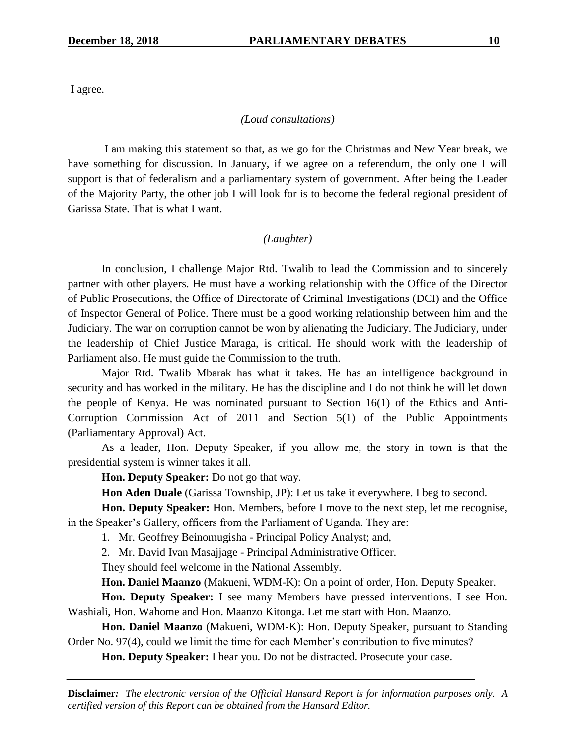I agree.

#### *(Loud consultations)*

I am making this statement so that, as we go for the Christmas and New Year break, we have something for discussion. In January, if we agree on a referendum, the only one I will support is that of federalism and a parliamentary system of government. After being the Leader of the Majority Party, the other job I will look for is to become the federal regional president of Garissa State. That is what I want.

## *(Laughter)*

In conclusion, I challenge Major Rtd. Twalib to lead the Commission and to sincerely partner with other players. He must have a working relationship with the Office of the Director of Public Prosecutions, the Office of Directorate of Criminal Investigations (DCI) and the Office of Inspector General of Police. There must be a good working relationship between him and the Judiciary. The war on corruption cannot be won by alienating the Judiciary. The Judiciary, under the leadership of Chief Justice Maraga, is critical. He should work with the leadership of Parliament also. He must guide the Commission to the truth.

Major Rtd. Twalib Mbarak has what it takes. He has an intelligence background in security and has worked in the military. He has the discipline and I do not think he will let down the people of Kenya. He was nominated pursuant to Section 16(1) of the Ethics and Anti-Corruption Commission Act of 2011 and Section 5(1) of the Public Appointments (Parliamentary Approval) Act.

As a leader, Hon. Deputy Speaker, if you allow me, the story in town is that the presidential system is winner takes it all.

**Hon. Deputy Speaker:** Do not go that way.

**Hon Aden Duale** (Garissa Township, JP): Let us take it everywhere. I beg to second.

**Hon. Deputy Speaker:** Hon. Members, before I move to the next step, let me recognise, in the Speaker's Gallery, officers from the Parliament of Uganda. They are:

1. Mr. Geoffrey Beinomugisha - Principal Policy Analyst; and,

2. Mr. David Ivan Masajjage - Principal Administrative Officer.

They should feel welcome in the National Assembly.

**Hon. Daniel Maanzo** (Makueni, WDM-K): On a point of order, Hon. Deputy Speaker.

**Hon. Deputy Speaker:** I see many Members have pressed interventions. I see Hon. Washiali, Hon. Wahome and Hon. Maanzo Kitonga. Let me start with Hon. Maanzo.

**Hon. Daniel Maanzo** (Makueni, WDM-K): Hon. Deputy Speaker, pursuant to Standing Order No. 97(4), could we limit the time for each Member's contribution to five minutes?

**Hon. Deputy Speaker:** I hear you. Do not be distracted. Prosecute your case.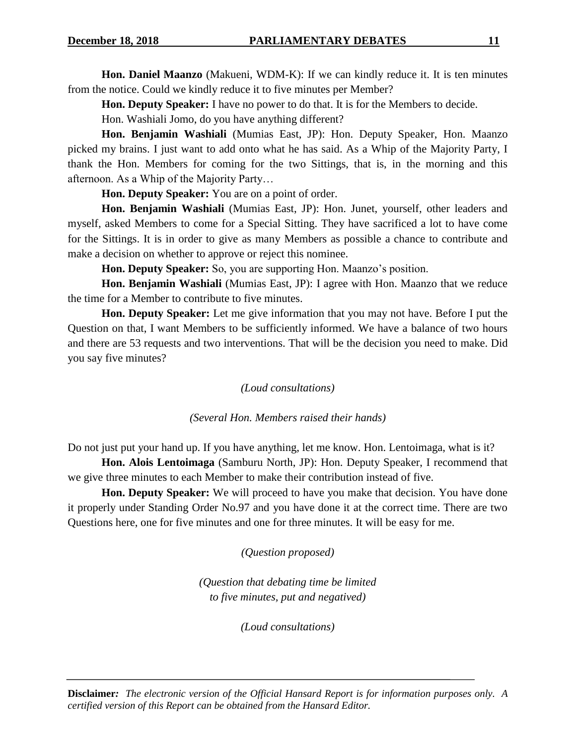**Hon. Daniel Maanzo** (Makueni, WDM-K): If we can kindly reduce it. It is ten minutes from the notice. Could we kindly reduce it to five minutes per Member?

**Hon. Deputy Speaker:** I have no power to do that. It is for the Members to decide.

Hon. Washiali Jomo, do you have anything different?

**Hon. Benjamin Washiali** (Mumias East, JP): Hon. Deputy Speaker, Hon. Maanzo picked my brains. I just want to add onto what he has said. As a Whip of the Majority Party, I thank the Hon. Members for coming for the two Sittings, that is, in the morning and this afternoon. As a Whip of the Majority Party…

**Hon. Deputy Speaker:** You are on a point of order.

**Hon. Benjamin Washiali** (Mumias East, JP): Hon. Junet, yourself, other leaders and myself, asked Members to come for a Special Sitting. They have sacrificed a lot to have come for the Sittings. It is in order to give as many Members as possible a chance to contribute and make a decision on whether to approve or reject this nominee.

**Hon. Deputy Speaker:** So, you are supporting Hon. Maanzo's position.

**Hon. Benjamin Washiali** (Mumias East, JP): I agree with Hon. Maanzo that we reduce the time for a Member to contribute to five minutes.

**Hon. Deputy Speaker:** Let me give information that you may not have. Before I put the Question on that, I want Members to be sufficiently informed. We have a balance of two hours and there are 53 requests and two interventions. That will be the decision you need to make. Did you say five minutes?

*(Loud consultations)*

*(Several Hon. Members raised their hands)*

Do not just put your hand up. If you have anything, let me know. Hon. Lentoimaga, what is it?

**Hon. Alois Lentoimaga** (Samburu North, JP): Hon. Deputy Speaker, I recommend that we give three minutes to each Member to make their contribution instead of five.

**Hon. Deputy Speaker:** We will proceed to have you make that decision. You have done it properly under Standing Order No.97 and you have done it at the correct time. There are two Questions here, one for five minutes and one for three minutes. It will be easy for me.

*(Question proposed)*

*(Question that debating time be limited to five minutes, put and negatived)*

*(Loud consultations)*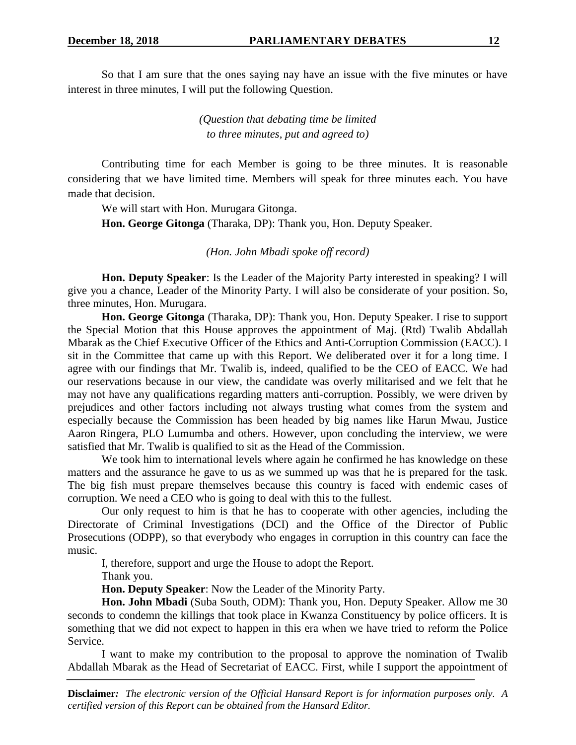So that I am sure that the ones saying nay have an issue with the five minutes or have interest in three minutes, I will put the following Question.

> *(Question that debating time be limited to three minutes, put and agreed to)*

Contributing time for each Member is going to be three minutes. It is reasonable considering that we have limited time. Members will speak for three minutes each. You have made that decision.

We will start with Hon. Murugara Gitonga.

**Hon. George Gitonga** (Tharaka, DP): Thank you, Hon. Deputy Speaker.

*(Hon. John Mbadi spoke off record)*

**Hon. Deputy Speaker**: Is the Leader of the Majority Party interested in speaking? I will give you a chance, Leader of the Minority Party. I will also be considerate of your position. So, three minutes, Hon. Murugara.

**Hon. George Gitonga** (Tharaka, DP): Thank you, Hon. Deputy Speaker. I rise to support the Special Motion that this House approves the appointment of Maj. (Rtd) Twalib Abdallah Mbarak as the Chief Executive Officer of the Ethics and Anti-Corruption Commission (EACC). I sit in the Committee that came up with this Report. We deliberated over it for a long time. I agree with our findings that Mr. Twalib is, indeed, qualified to be the CEO of EACC. We had our reservations because in our view, the candidate was overly militarised and we felt that he may not have any qualifications regarding matters anti-corruption. Possibly, we were driven by prejudices and other factors including not always trusting what comes from the system and especially because the Commission has been headed by big names like Harun Mwau, Justice Aaron Ringera, PLO Lumumba and others. However, upon concluding the interview, we were satisfied that Mr. Twalib is qualified to sit as the Head of the Commission.

We took him to international levels where again he confirmed he has knowledge on these matters and the assurance he gave to us as we summed up was that he is prepared for the task. The big fish must prepare themselves because this country is faced with endemic cases of corruption. We need a CEO who is going to deal with this to the fullest.

Our only request to him is that he has to cooperate with other agencies, including the Directorate of Criminal Investigations (DCI) and the Office of the Director of Public Prosecutions (ODPP), so that everybody who engages in corruption in this country can face the music.

I, therefore, support and urge the House to adopt the Report.

Thank you.

**Hon. Deputy Speaker**: Now the Leader of the Minority Party.

**Hon. John Mbadi** (Suba South, ODM): Thank you, Hon. Deputy Speaker. Allow me 30 seconds to condemn the killings that took place in Kwanza Constituency by police officers. It is something that we did not expect to happen in this era when we have tried to reform the Police Service.

I want to make my contribution to the proposal to approve the nomination of Twalib Abdallah Mbarak as the Head of Secretariat of EACC. First, while I support the appointment of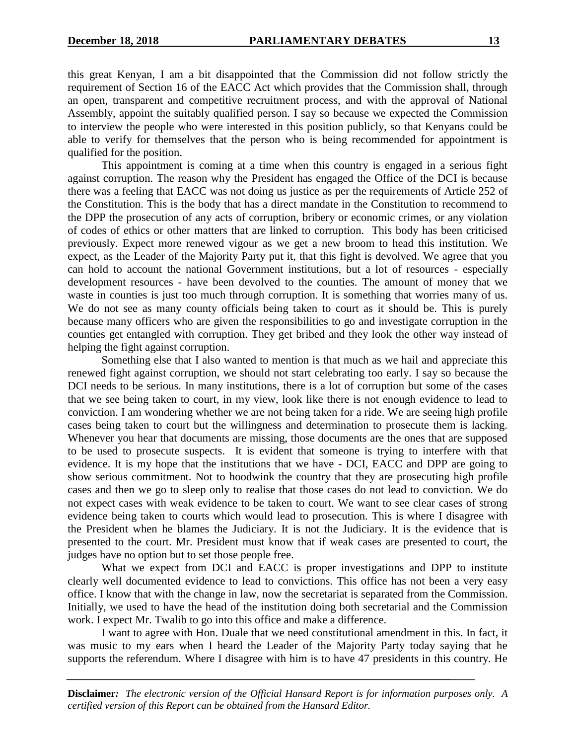this great Kenyan, I am a bit disappointed that the Commission did not follow strictly the requirement of Section 16 of the EACC Act which provides that the Commission shall, through an open, transparent and competitive recruitment process, and with the approval of National Assembly, appoint the suitably qualified person. I say so because we expected the Commission to interview the people who were interested in this position publicly, so that Kenyans could be able to verify for themselves that the person who is being recommended for appointment is qualified for the position.

This appointment is coming at a time when this country is engaged in a serious fight against corruption. The reason why the President has engaged the Office of the DCI is because there was a feeling that EACC was not doing us justice as per the requirements of Article 252 of the Constitution. This is the body that has a direct mandate in the Constitution to recommend to the DPP the prosecution of any acts of corruption, bribery or economic crimes, or any violation of codes of ethics or other matters that are linked to corruption. This body has been criticised previously. Expect more renewed vigour as we get a new broom to head this institution. We expect, as the Leader of the Majority Party put it, that this fight is devolved. We agree that you can hold to account the national Government institutions, but a lot of resources - especially development resources - have been devolved to the counties. The amount of money that we waste in counties is just too much through corruption. It is something that worries many of us. We do not see as many county officials being taken to court as it should be. This is purely because many officers who are given the responsibilities to go and investigate corruption in the counties get entangled with corruption. They get bribed and they look the other way instead of helping the fight against corruption.

Something else that I also wanted to mention is that much as we hail and appreciate this renewed fight against corruption, we should not start celebrating too early. I say so because the DCI needs to be serious. In many institutions, there is a lot of corruption but some of the cases that we see being taken to court, in my view, look like there is not enough evidence to lead to conviction. I am wondering whether we are not being taken for a ride. We are seeing high profile cases being taken to court but the willingness and determination to prosecute them is lacking. Whenever you hear that documents are missing, those documents are the ones that are supposed to be used to prosecute suspects. It is evident that someone is trying to interfere with that evidence. It is my hope that the institutions that we have - DCI, EACC and DPP are going to show serious commitment. Not to hoodwink the country that they are prosecuting high profile cases and then we go to sleep only to realise that those cases do not lead to conviction. We do not expect cases with weak evidence to be taken to court. We want to see clear cases of strong evidence being taken to courts which would lead to prosecution. This is where I disagree with the President when he blames the Judiciary. It is not the Judiciary. It is the evidence that is presented to the court. Mr. President must know that if weak cases are presented to court, the judges have no option but to set those people free.

What we expect from DCI and EACC is proper investigations and DPP to institute clearly well documented evidence to lead to convictions. This office has not been a very easy office. I know that with the change in law, now the secretariat is separated from the Commission. Initially, we used to have the head of the institution doing both secretarial and the Commission work. I expect Mr. Twalib to go into this office and make a difference.

I want to agree with Hon. Duale that we need constitutional amendment in this. In fact, it was music to my ears when I heard the Leader of the Majority Party today saying that he supports the referendum. Where I disagree with him is to have 47 presidents in this country. He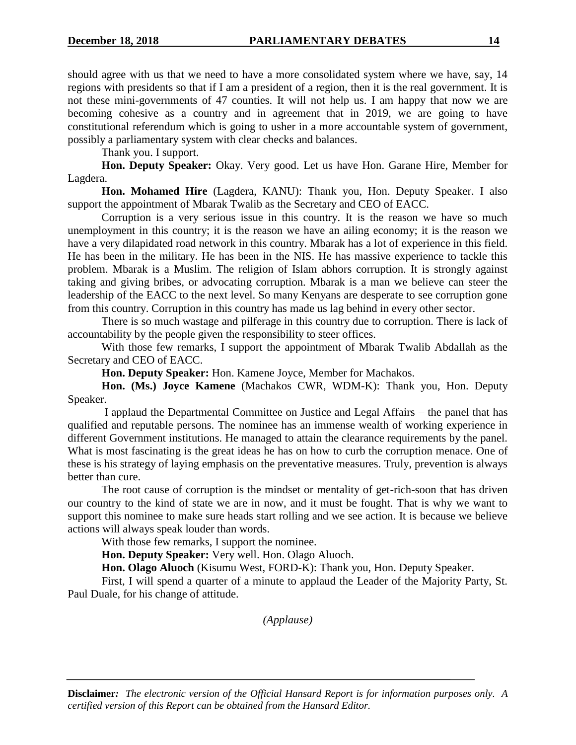should agree with us that we need to have a more consolidated system where we have, say, 14 regions with presidents so that if I am a president of a region, then it is the real government. It is not these mini-governments of 47 counties. It will not help us. I am happy that now we are becoming cohesive as a country and in agreement that in 2019, we are going to have constitutional referendum which is going to usher in a more accountable system of government, possibly a parliamentary system with clear checks and balances.

Thank you. I support.

**Hon. Deputy Speaker:** Okay. Very good. Let us have Hon. Garane Hire, Member for Lagdera.

**Hon. Mohamed Hire** (Lagdera, KANU): Thank you, Hon. Deputy Speaker. I also support the appointment of Mbarak Twalib as the Secretary and CEO of EACC.

Corruption is a very serious issue in this country. It is the reason we have so much unemployment in this country; it is the reason we have an ailing economy; it is the reason we have a very dilapidated road network in this country. Mbarak has a lot of experience in this field. He has been in the military. He has been in the NIS. He has massive experience to tackle this problem. Mbarak is a Muslim. The religion of Islam abhors corruption. It is strongly against taking and giving bribes, or advocating corruption. Mbarak is a man we believe can steer the leadership of the EACC to the next level. So many Kenyans are desperate to see corruption gone from this country. Corruption in this country has made us lag behind in every other sector.

There is so much wastage and pilferage in this country due to corruption. There is lack of accountability by the people given the responsibility to steer offices.

With those few remarks, I support the appointment of Mbarak Twalib Abdallah as the Secretary and CEO of EACC.

**Hon. Deputy Speaker:** Hon. Kamene Joyce, Member for Machakos.

**Hon. (Ms.) Joyce Kamene** (Machakos CWR, WDM-K): Thank you, Hon. Deputy Speaker.

I applaud the Departmental Committee on Justice and Legal Affairs – the panel that has qualified and reputable persons. The nominee has an immense wealth of working experience in different Government institutions. He managed to attain the clearance requirements by the panel. What is most fascinating is the great ideas he has on how to curb the corruption menace. One of these is his strategy of laying emphasis on the preventative measures. Truly, prevention is always better than cure.

The root cause of corruption is the mindset or mentality of get-rich-soon that has driven our country to the kind of state we are in now, and it must be fought. That is why we want to support this nominee to make sure heads start rolling and we see action. It is because we believe actions will always speak louder than words.

With those few remarks, I support the nominee.

**Hon. Deputy Speaker:** Very well. Hon. Olago Aluoch.

**Hon. Olago Aluoch** (Kisumu West, FORD-K): Thank you, Hon. Deputy Speaker.

First, I will spend a quarter of a minute to applaud the Leader of the Majority Party, St. Paul Duale, for his change of attitude.

*(Applause)*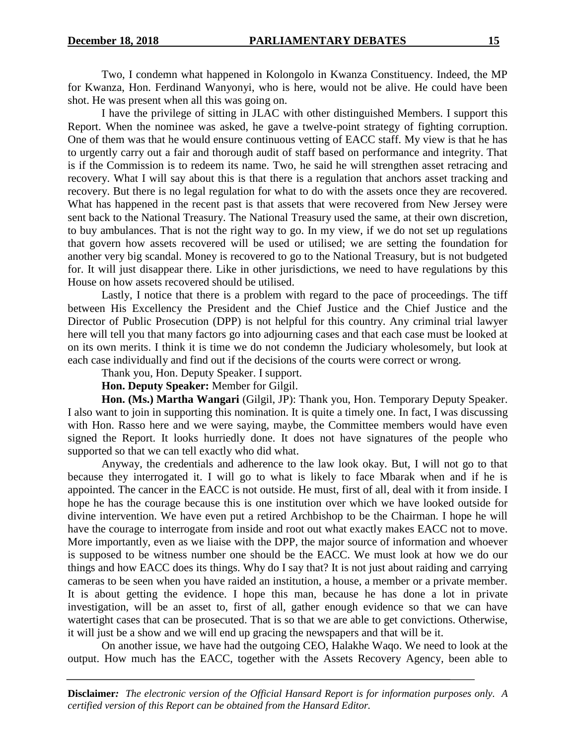Two, I condemn what happened in Kolongolo in Kwanza Constituency. Indeed, the MP for Kwanza, Hon. Ferdinand Wanyonyi, who is here, would not be alive. He could have been shot. He was present when all this was going on.

I have the privilege of sitting in JLAC with other distinguished Members. I support this Report. When the nominee was asked, he gave a twelve-point strategy of fighting corruption. One of them was that he would ensure continuous vetting of EACC staff. My view is that he has to urgently carry out a fair and thorough audit of staff based on performance and integrity. That is if the Commission is to redeem its name. Two, he said he will strengthen asset retracing and recovery. What I will say about this is that there is a regulation that anchors asset tracking and recovery. But there is no legal regulation for what to do with the assets once they are recovered. What has happened in the recent past is that assets that were recovered from New Jersey were sent back to the National Treasury. The National Treasury used the same, at their own discretion, to buy ambulances. That is not the right way to go. In my view, if we do not set up regulations that govern how assets recovered will be used or utilised; we are setting the foundation for another very big scandal. Money is recovered to go to the National Treasury, but is not budgeted for. It will just disappear there. Like in other jurisdictions, we need to have regulations by this House on how assets recovered should be utilised.

Lastly, I notice that there is a problem with regard to the pace of proceedings. The tiff between His Excellency the President and the Chief Justice and the Chief Justice and the Director of Public Prosecution (DPP) is not helpful for this country. Any criminal trial lawyer here will tell you that many factors go into adjourning cases and that each case must be looked at on its own merits. I think it is time we do not condemn the Judiciary wholesomely, but look at each case individually and find out if the decisions of the courts were correct or wrong.

Thank you, Hon. Deputy Speaker. I support.

**Hon. Deputy Speaker:** Member for Gilgil.

**Hon. (Ms.) Martha Wangari** (Gilgil, JP): Thank you, Hon. Temporary Deputy Speaker. I also want to join in supporting this nomination. It is quite a timely one. In fact, I was discussing with Hon. Rasso here and we were saying, maybe, the Committee members would have even signed the Report. It looks hurriedly done. It does not have signatures of the people who supported so that we can tell exactly who did what.

Anyway, the credentials and adherence to the law look okay. But, I will not go to that because they interrogated it. I will go to what is likely to face Mbarak when and if he is appointed. The cancer in the EACC is not outside. He must, first of all, deal with it from inside. I hope he has the courage because this is one institution over which we have looked outside for divine intervention. We have even put a retired Archbishop to be the Chairman. I hope he will have the courage to interrogate from inside and root out what exactly makes EACC not to move. More importantly, even as we liaise with the DPP, the major source of information and whoever is supposed to be witness number one should be the EACC. We must look at how we do our things and how EACC does its things. Why do I say that? It is not just about raiding and carrying cameras to be seen when you have raided an institution, a house, a member or a private member. It is about getting the evidence. I hope this man, because he has done a lot in private investigation, will be an asset to, first of all, gather enough evidence so that we can have watertight cases that can be prosecuted. That is so that we are able to get convictions. Otherwise, it will just be a show and we will end up gracing the newspapers and that will be it.

On another issue, we have had the outgoing CEO, Halakhe Waqo. We need to look at the output. How much has the EACC, together with the Assets Recovery Agency, been able to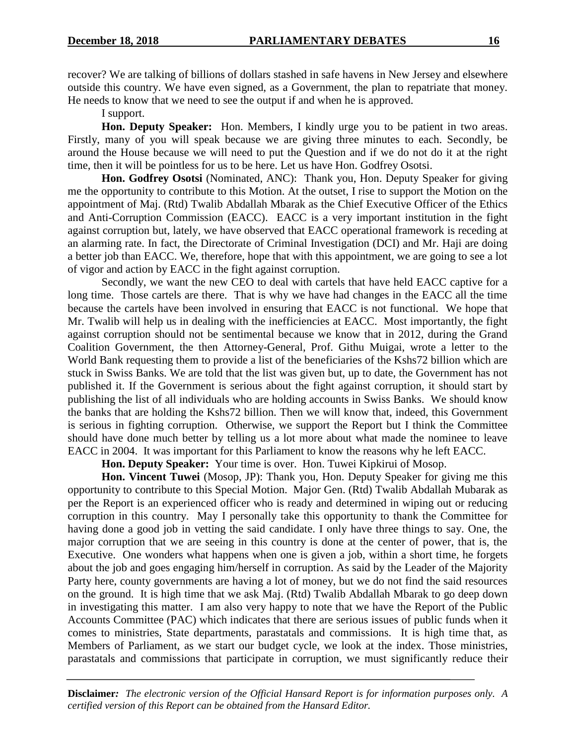recover? We are talking of billions of dollars stashed in safe havens in New Jersey and elsewhere outside this country. We have even signed, as a Government, the plan to repatriate that money. He needs to know that we need to see the output if and when he is approved.

I support.

**Hon. Deputy Speaker:** Hon. Members, I kindly urge you to be patient in two areas. Firstly, many of you will speak because we are giving three minutes to each. Secondly, be around the House because we will need to put the Question and if we do not do it at the right time, then it will be pointless for us to be here. Let us have Hon. Godfrey Osotsi.

**Hon. Godfrey Osotsi** (Nominated, ANC): Thank you, Hon. Deputy Speaker for giving me the opportunity to contribute to this Motion. At the outset, I rise to support the Motion on the appointment of Maj. (Rtd) Twalib Abdallah Mbarak as the Chief Executive Officer of the Ethics and Anti-Corruption Commission (EACC). EACC is a very important institution in the fight against corruption but, lately, we have observed that EACC operational framework is receding at an alarming rate. In fact, the Directorate of Criminal Investigation (DCI) and Mr. Haji are doing a better job than EACC. We, therefore, hope that with this appointment, we are going to see a lot of vigor and action by EACC in the fight against corruption.

Secondly, we want the new CEO to deal with cartels that have held EACC captive for a long time. Those cartels are there. That is why we have had changes in the EACC all the time because the cartels have been involved in ensuring that EACC is not functional. We hope that Mr. Twalib will help us in dealing with the inefficiencies at EACC. Most importantly, the fight against corruption should not be sentimental because we know that in 2012, during the Grand Coalition Government, the then Attorney-General, Prof. Githu Muigai, wrote a letter to the World Bank requesting them to provide a list of the beneficiaries of the Kshs72 billion which are stuck in Swiss Banks. We are told that the list was given but, up to date, the Government has not published it. If the Government is serious about the fight against corruption, it should start by publishing the list of all individuals who are holding accounts in Swiss Banks. We should know the banks that are holding the Kshs72 billion. Then we will know that, indeed, this Government is serious in fighting corruption. Otherwise, we support the Report but I think the Committee should have done much better by telling us a lot more about what made the nominee to leave EACC in 2004. It was important for this Parliament to know the reasons why he left EACC.

**Hon. Deputy Speaker:** Your time is over. Hon. Tuwei Kipkirui of Mosop.

**Hon. Vincent Tuwei** (Mosop, JP): Thank you, Hon. Deputy Speaker for giving me this opportunity to contribute to this Special Motion. Major Gen. (Rtd) Twalib Abdallah Mubarak as per the Report is an experienced officer who is ready and determined in wiping out or reducing corruption in this country. May I personally take this opportunity to thank the Committee for having done a good job in vetting the said candidate. I only have three things to say. One, the major corruption that we are seeing in this country is done at the center of power, that is, the Executive. One wonders what happens when one is given a job, within a short time, he forgets about the job and goes engaging him/herself in corruption. As said by the Leader of the Majority Party here, county governments are having a lot of money, but we do not find the said resources on the ground. It is high time that we ask Maj. (Rtd) Twalib Abdallah Mbarak to go deep down in investigating this matter. I am also very happy to note that we have the Report of the Public Accounts Committee (PAC) which indicates that there are serious issues of public funds when it comes to ministries, State departments, parastatals and commissions. It is high time that, as Members of Parliament, as we start our budget cycle, we look at the index. Those ministries, parastatals and commissions that participate in corruption, we must significantly reduce their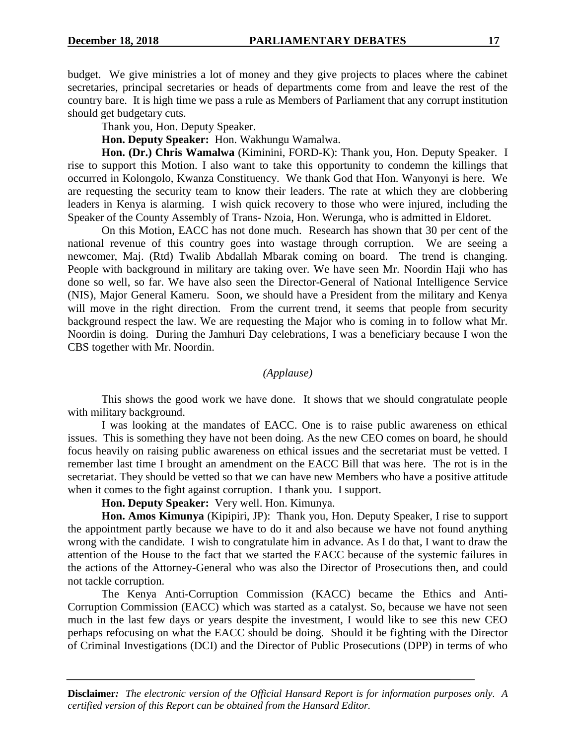budget. We give ministries a lot of money and they give projects to places where the cabinet secretaries, principal secretaries or heads of departments come from and leave the rest of the country bare. It is high time we pass a rule as Members of Parliament that any corrupt institution should get budgetary cuts.

Thank you, Hon. Deputy Speaker.

**Hon. Deputy Speaker:** Hon. Wakhungu Wamalwa.

**Hon. (Dr.) Chris Wamalwa** (Kiminini, FORD-K): Thank you, Hon. Deputy Speaker. I rise to support this Motion. I also want to take this opportunity to condemn the killings that occurred in Kolongolo, Kwanza Constituency. We thank God that Hon. Wanyonyi is here. We are requesting the security team to know their leaders. The rate at which they are clobbering leaders in Kenya is alarming. I wish quick recovery to those who were injured, including the Speaker of the County Assembly of Trans- Nzoia, Hon. Werunga, who is admitted in Eldoret.

On this Motion, EACC has not done much. Research has shown that 30 per cent of the national revenue of this country goes into wastage through corruption. We are seeing a newcomer, Maj. (Rtd) Twalib Abdallah Mbarak coming on board. The trend is changing. People with background in military are taking over. We have seen Mr. Noordin Haji who has done so well, so far. We have also seen the Director-General of National Intelligence Service (NIS), Major General Kameru. Soon, we should have a President from the military and Kenya will move in the right direction. From the current trend, it seems that people from security background respect the law. We are requesting the Major who is coming in to follow what Mr. Noordin is doing. During the Jamhuri Day celebrations, I was a beneficiary because I won the CBS together with Mr. Noordin.

*(Applause)*

This shows the good work we have done. It shows that we should congratulate people with military background.

I was looking at the mandates of EACC. One is to raise public awareness on ethical issues. This is something they have not been doing. As the new CEO comes on board, he should focus heavily on raising public awareness on ethical issues and the secretariat must be vetted. I remember last time I brought an amendment on the EACC Bill that was here. The rot is in the secretariat. They should be vetted so that we can have new Members who have a positive attitude when it comes to the fight against corruption. I thank you. I support.

**Hon. Deputy Speaker:** Very well. Hon. Kimunya.

**Hon. Amos Kimunya** (Kipipiri, JP): Thank you, Hon. Deputy Speaker, I rise to support the appointment partly because we have to do it and also because we have not found anything wrong with the candidate. I wish to congratulate him in advance. As I do that, I want to draw the attention of the House to the fact that we started the EACC because of the systemic failures in the actions of the Attorney-General who was also the Director of Prosecutions then, and could not tackle corruption.

The Kenya Anti-Corruption Commission (KACC) became the Ethics and Anti-Corruption Commission (EACC) which was started as a catalyst. So, because we have not seen much in the last few days or years despite the investment, I would like to see this new CEO perhaps refocusing on what the EACC should be doing. Should it be fighting with the Director of Criminal Investigations (DCI) and the Director of Public Prosecutions (DPP) in terms of who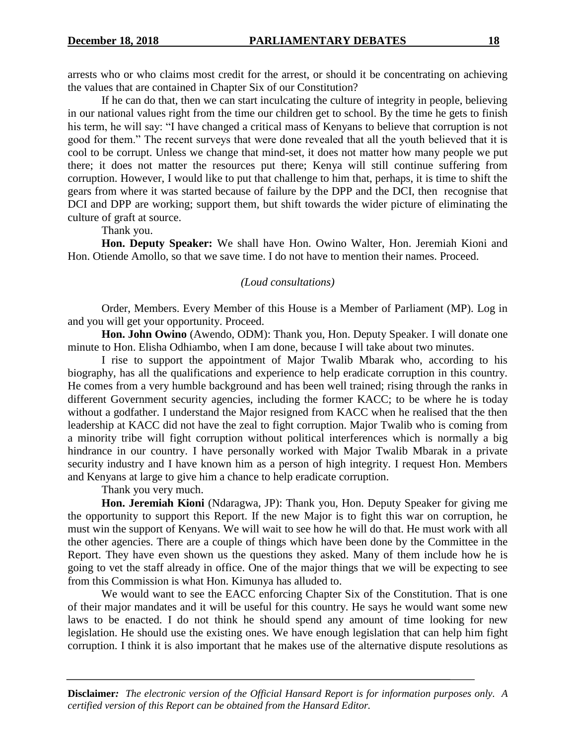arrests who or who claims most credit for the arrest, or should it be concentrating on achieving the values that are contained in Chapter Six of our Constitution?

If he can do that, then we can start inculcating the culture of integrity in people, believing in our national values right from the time our children get to school. By the time he gets to finish his term, he will say: "I have changed a critical mass of Kenyans to believe that corruption is not good for them." The recent surveys that were done revealed that all the youth believed that it is cool to be corrupt. Unless we change that mind-set, it does not matter how many people we put there; it does not matter the resources put there; Kenya will still continue suffering from corruption. However, I would like to put that challenge to him that, perhaps, it is time to shift the gears from where it was started because of failure by the DPP and the DCI, then recognise that DCI and DPP are working; support them, but shift towards the wider picture of eliminating the culture of graft at source.

Thank you.

**Hon. Deputy Speaker:** We shall have Hon. Owino Walter, Hon. Jeremiah Kioni and Hon. Otiende Amollo, so that we save time. I do not have to mention their names. Proceed.

#### *(Loud consultations)*

Order, Members. Every Member of this House is a Member of Parliament (MP). Log in and you will get your opportunity. Proceed.

**Hon. John Owino** (Awendo, ODM): Thank you, Hon. Deputy Speaker. I will donate one minute to Hon. Elisha Odhiambo, when I am done, because I will take about two minutes.

I rise to support the appointment of Major Twalib Mbarak who, according to his biography, has all the qualifications and experience to help eradicate corruption in this country. He comes from a very humble background and has been well trained; rising through the ranks in different Government security agencies, including the former KACC; to be where he is today without a godfather. I understand the Major resigned from KACC when he realised that the then leadership at KACC did not have the zeal to fight corruption. Major Twalib who is coming from a minority tribe will fight corruption without political interferences which is normally a big hindrance in our country. I have personally worked with Major Twalib Mbarak in a private security industry and I have known him as a person of high integrity. I request Hon. Members and Kenyans at large to give him a chance to help eradicate corruption.

Thank you very much.

**Hon. Jeremiah Kioni** (Ndaragwa, JP): Thank you, Hon. Deputy Speaker for giving me the opportunity to support this Report. If the new Major is to fight this war on corruption, he must win the support of Kenyans. We will wait to see how he will do that. He must work with all the other agencies. There are a couple of things which have been done by the Committee in the Report. They have even shown us the questions they asked. Many of them include how he is going to vet the staff already in office. One of the major things that we will be expecting to see from this Commission is what Hon. Kimunya has alluded to.

We would want to see the EACC enforcing Chapter Six of the Constitution. That is one of their major mandates and it will be useful for this country. He says he would want some new laws to be enacted. I do not think he should spend any amount of time looking for new legislation. He should use the existing ones. We have enough legislation that can help him fight corruption. I think it is also important that he makes use of the alternative dispute resolutions as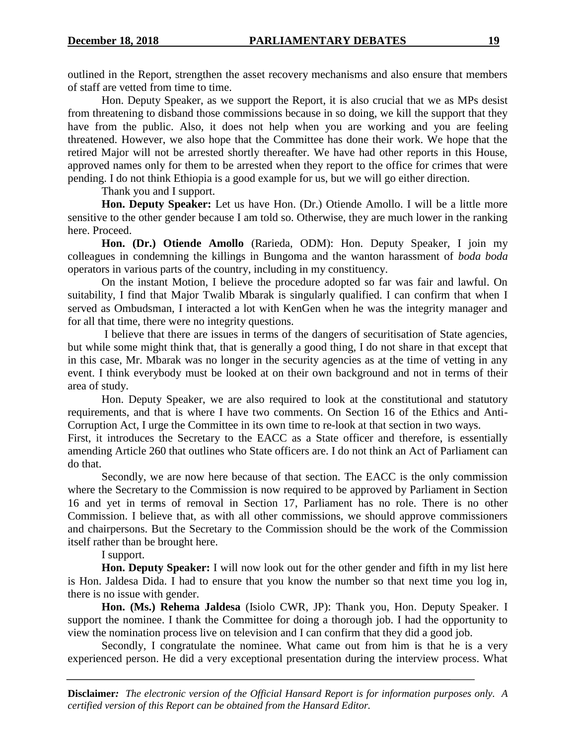outlined in the Report, strengthen the asset recovery mechanisms and also ensure that members of staff are vetted from time to time.

Hon. Deputy Speaker, as we support the Report, it is also crucial that we as MPs desist from threatening to disband those commissions because in so doing, we kill the support that they have from the public. Also, it does not help when you are working and you are feeling threatened. However, we also hope that the Committee has done their work. We hope that the retired Major will not be arrested shortly thereafter. We have had other reports in this House, approved names only for them to be arrested when they report to the office for crimes that were pending. I do not think Ethiopia is a good example for us, but we will go either direction.

Thank you and I support.

**Hon. Deputy Speaker:** Let us have Hon. (Dr.) Otiende Amollo. I will be a little more sensitive to the other gender because I am told so. Otherwise, they are much lower in the ranking here. Proceed.

**Hon. (Dr.) Otiende Amollo** (Rarieda, ODM): Hon. Deputy Speaker, I join my colleagues in condemning the killings in Bungoma and the wanton harassment of *boda boda* operators in various parts of the country, including in my constituency.

On the instant Motion, I believe the procedure adopted so far was fair and lawful. On suitability, I find that Major Twalib Mbarak is singularly qualified. I can confirm that when I served as Ombudsman, I interacted a lot with KenGen when he was the integrity manager and for all that time, there were no integrity questions.

I believe that there are issues in terms of the dangers of securitisation of State agencies, but while some might think that, that is generally a good thing, I do not share in that except that in this case, Mr. Mbarak was no longer in the security agencies as at the time of vetting in any event. I think everybody must be looked at on their own background and not in terms of their area of study.

Hon. Deputy Speaker, we are also required to look at the constitutional and statutory requirements, and that is where I have two comments. On Section 16 of the Ethics and Anti-Corruption Act, I urge the Committee in its own time to re-look at that section in two ways.

First, it introduces the Secretary to the EACC as a State officer and therefore, is essentially amending Article 260 that outlines who State officers are. I do not think an Act of Parliament can do that.

Secondly, we are now here because of that section. The EACC is the only commission where the Secretary to the Commission is now required to be approved by Parliament in Section 16 and yet in terms of removal in Section 17, Parliament has no role. There is no other Commission. I believe that, as with all other commissions, we should approve commissioners and chairpersons. But the Secretary to the Commission should be the work of the Commission itself rather than be brought here.

## I support.

**Hon. Deputy Speaker:** I will now look out for the other gender and fifth in my list here is Hon. Jaldesa Dida. I had to ensure that you know the number so that next time you log in, there is no issue with gender.

**Hon. (Ms.) Rehema Jaldesa** (Isiolo CWR, JP): Thank you, Hon. Deputy Speaker. I support the nominee. I thank the Committee for doing a thorough job. I had the opportunity to view the nomination process live on television and I can confirm that they did a good job.

Secondly, I congratulate the nominee. What came out from him is that he is a very experienced person. He did a very exceptional presentation during the interview process. What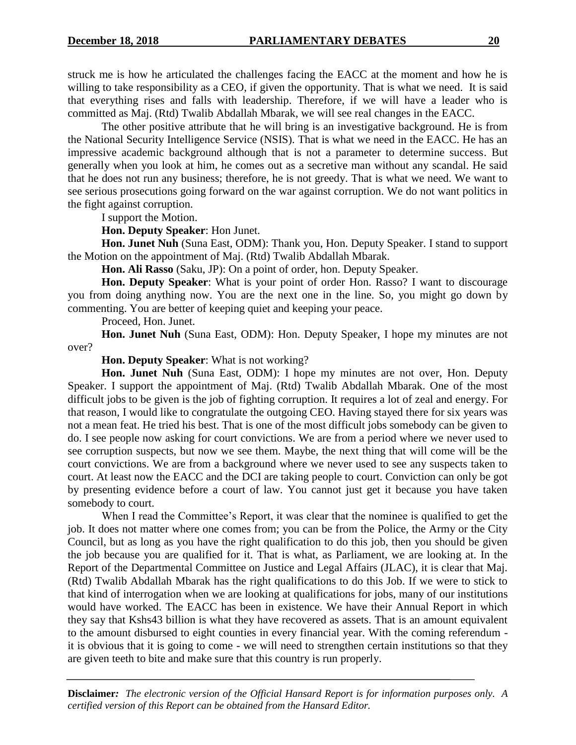struck me is how he articulated the challenges facing the EACC at the moment and how he is willing to take responsibility as a CEO, if given the opportunity. That is what we need. It is said that everything rises and falls with leadership. Therefore, if we will have a leader who is committed as Maj. (Rtd) Twalib Abdallah Mbarak, we will see real changes in the EACC.

The other positive attribute that he will bring is an investigative background. He is from the National Security Intelligence Service (NSIS). That is what we need in the EACC. He has an impressive academic background although that is not a parameter to determine success. But generally when you look at him, he comes out as a secretive man without any scandal. He said that he does not run any business; therefore, he is not greedy. That is what we need. We want to see serious prosecutions going forward on the war against corruption. We do not want politics in the fight against corruption.

I support the Motion.

**Hon. Deputy Speaker**: Hon Junet.

**Hon. Junet Nuh** (Suna East, ODM): Thank you, Hon. Deputy Speaker. I stand to support the Motion on the appointment of Maj. (Rtd) Twalib Abdallah Mbarak.

**Hon. Ali Rasso** (Saku, JP): On a point of order, hon. Deputy Speaker.

**Hon. Deputy Speaker**: What is your point of order Hon. Rasso? I want to discourage you from doing anything now. You are the next one in the line. So, you might go down by commenting. You are better of keeping quiet and keeping your peace.

Proceed, Hon. Junet.

**Hon. Junet Nuh** (Suna East, ODM): Hon. Deputy Speaker, I hope my minutes are not over?

**Hon. Deputy Speaker**: What is not working?

**Hon. Junet Nuh** (Suna East, ODM): I hope my minutes are not over, Hon. Deputy Speaker. I support the appointment of Maj. (Rtd) Twalib Abdallah Mbarak. One of the most difficult jobs to be given is the job of fighting corruption. It requires a lot of zeal and energy. For that reason, I would like to congratulate the outgoing CEO. Having stayed there for six years was not a mean feat. He tried his best. That is one of the most difficult jobs somebody can be given to do. I see people now asking for court convictions. We are from a period where we never used to see corruption suspects, but now we see them. Maybe, the next thing that will come will be the court convictions. We are from a background where we never used to see any suspects taken to court. At least now the EACC and the DCI are taking people to court. Conviction can only be got by presenting evidence before a court of law. You cannot just get it because you have taken somebody to court.

When I read the Committee's Report, it was clear that the nominee is qualified to get the job. It does not matter where one comes from; you can be from the Police, the Army or the City Council, but as long as you have the right qualification to do this job, then you should be given the job because you are qualified for it. That is what, as Parliament, we are looking at. In the Report of the Departmental Committee on Justice and Legal Affairs (JLAC), it is clear that Maj. (Rtd) Twalib Abdallah Mbarak has the right qualifications to do this Job. If we were to stick to that kind of interrogation when we are looking at qualifications for jobs, many of our institutions would have worked. The EACC has been in existence. We have their Annual Report in which they say that Kshs43 billion is what they have recovered as assets. That is an amount equivalent to the amount disbursed to eight counties in every financial year. With the coming referendum it is obvious that it is going to come - we will need to strengthen certain institutions so that they are given teeth to bite and make sure that this country is run properly.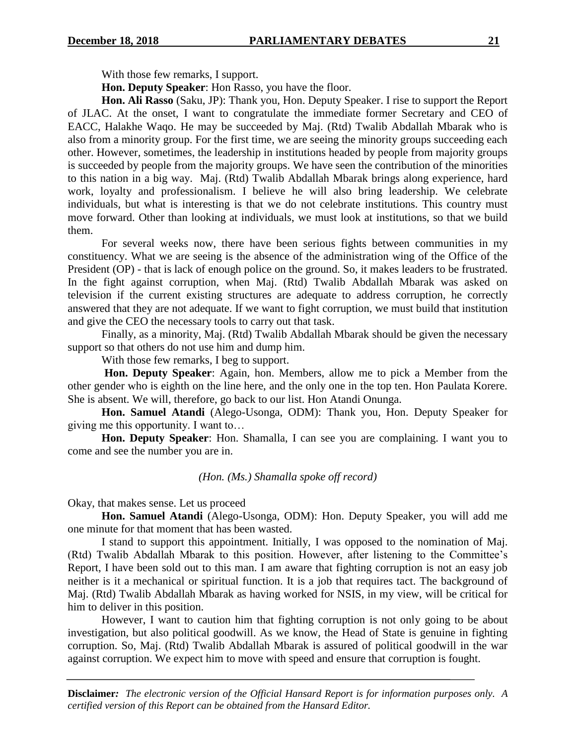With those few remarks, I support.

**Hon. Deputy Speaker**: Hon Rasso, you have the floor.

**Hon. Ali Rasso** (Saku, JP): Thank you, Hon. Deputy Speaker. I rise to support the Report of JLAC. At the onset, I want to congratulate the immediate former Secretary and CEO of EACC, Halakhe Waqo. He may be succeeded by Maj. (Rtd) Twalib Abdallah Mbarak who is also from a minority group. For the first time, we are seeing the minority groups succeeding each other. However, sometimes, the leadership in institutions headed by people from majority groups is succeeded by people from the majority groups. We have seen the contribution of the minorities to this nation in a big way. Maj. (Rtd) Twalib Abdallah Mbarak brings along experience, hard work, loyalty and professionalism. I believe he will also bring leadership. We celebrate individuals, but what is interesting is that we do not celebrate institutions. This country must move forward. Other than looking at individuals, we must look at institutions, so that we build them.

For several weeks now, there have been serious fights between communities in my constituency. What we are seeing is the absence of the administration wing of the Office of the President (OP) - that is lack of enough police on the ground. So, it makes leaders to be frustrated. In the fight against corruption, when Maj. (Rtd) Twalib Abdallah Mbarak was asked on television if the current existing structures are adequate to address corruption, he correctly answered that they are not adequate. If we want to fight corruption, we must build that institution and give the CEO the necessary tools to carry out that task.

Finally, as a minority, Maj. (Rtd) Twalib Abdallah Mbarak should be given the necessary support so that others do not use him and dump him.

With those few remarks, I beg to support.

**Hon. Deputy Speaker**: Again, hon. Members, allow me to pick a Member from the other gender who is eighth on the line here, and the only one in the top ten. Hon Paulata Korere. She is absent. We will, therefore, go back to our list. Hon Atandi Onunga.

**Hon. Samuel Atandi** (Alego-Usonga, ODM): Thank you, Hon. Deputy Speaker for giving me this opportunity. I want to…

**Hon. Deputy Speaker**: Hon. Shamalla, I can see you are complaining. I want you to come and see the number you are in.

*(Hon. (Ms.) Shamalla spoke off record)*

Okay, that makes sense. Let us proceed

**Hon. Samuel Atandi** (Alego-Usonga, ODM): Hon. Deputy Speaker, you will add me one minute for that moment that has been wasted.

I stand to support this appointment. Initially, I was opposed to the nomination of Maj. (Rtd) Twalib Abdallah Mbarak to this position. However, after listening to the Committee's Report, I have been sold out to this man. I am aware that fighting corruption is not an easy job neither is it a mechanical or spiritual function. It is a job that requires tact. The background of Maj. (Rtd) Twalib Abdallah Mbarak as having worked for NSIS, in my view, will be critical for him to deliver in this position.

However, I want to caution him that fighting corruption is not only going to be about investigation, but also political goodwill. As we know, the Head of State is genuine in fighting corruption. So, Maj. (Rtd) Twalib Abdallah Mbarak is assured of political goodwill in the war against corruption. We expect him to move with speed and ensure that corruption is fought.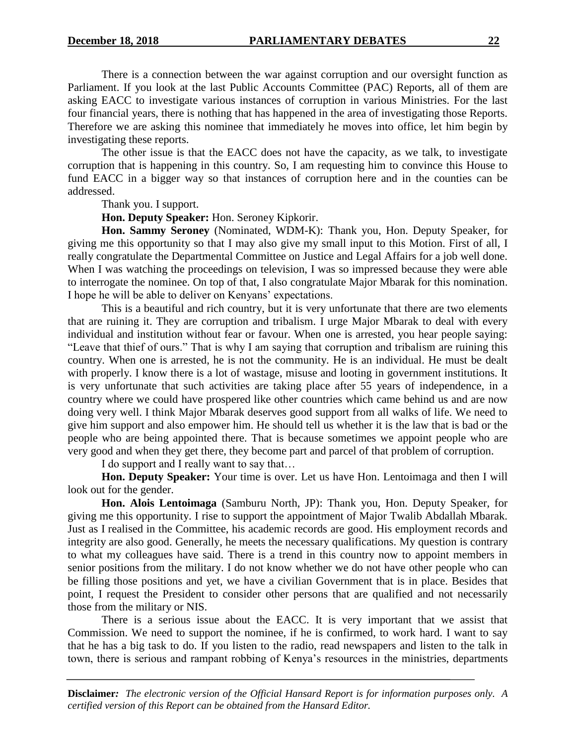There is a connection between the war against corruption and our oversight function as Parliament. If you look at the last Public Accounts Committee (PAC) Reports, all of them are asking EACC to investigate various instances of corruption in various Ministries. For the last four financial years, there is nothing that has happened in the area of investigating those Reports. Therefore we are asking this nominee that immediately he moves into office, let him begin by investigating these reports.

The other issue is that the EACC does not have the capacity, as we talk, to investigate corruption that is happening in this country. So, I am requesting him to convince this House to fund EACC in a bigger way so that instances of corruption here and in the counties can be addressed.

Thank you. I support.

**Hon. Deputy Speaker:** Hon. Seroney Kipkorir.

**Hon. Sammy Seroney** (Nominated, WDM-K): Thank you, Hon. Deputy Speaker, for giving me this opportunity so that I may also give my small input to this Motion. First of all, I really congratulate the Departmental Committee on Justice and Legal Affairs for a job well done. When I was watching the proceedings on television, I was so impressed because they were able to interrogate the nominee. On top of that, I also congratulate Major Mbarak for this nomination. I hope he will be able to deliver on Kenyans' expectations.

This is a beautiful and rich country, but it is very unfortunate that there are two elements that are ruining it. They are corruption and tribalism. I urge Major Mbarak to deal with every individual and institution without fear or favour. When one is arrested, you hear people saying: "Leave that thief of ours." That is why I am saying that corruption and tribalism are ruining this country. When one is arrested, he is not the community. He is an individual. He must be dealt with properly. I know there is a lot of wastage, misuse and looting in government institutions. It is very unfortunate that such activities are taking place after 55 years of independence, in a country where we could have prospered like other countries which came behind us and are now doing very well. I think Major Mbarak deserves good support from all walks of life. We need to give him support and also empower him. He should tell us whether it is the law that is bad or the people who are being appointed there. That is because sometimes we appoint people who are very good and when they get there, they become part and parcel of that problem of corruption.

I do support and I really want to say that…

**Hon. Deputy Speaker:** Your time is over. Let us have Hon. Lentoimaga and then I will look out for the gender.

**Hon. Alois Lentoimaga** (Samburu North, JP): Thank you, Hon. Deputy Speaker, for giving me this opportunity. I rise to support the appointment of Major Twalib Abdallah Mbarak. Just as I realised in the Committee, his academic records are good. His employment records and integrity are also good. Generally, he meets the necessary qualifications. My question is contrary to what my colleagues have said. There is a trend in this country now to appoint members in senior positions from the military. I do not know whether we do not have other people who can be filling those positions and yet, we have a civilian Government that is in place. Besides that point, I request the President to consider other persons that are qualified and not necessarily those from the military or NIS.

There is a serious issue about the EACC. It is very important that we assist that Commission. We need to support the nominee, if he is confirmed, to work hard. I want to say that he has a big task to do. If you listen to the radio, read newspapers and listen to the talk in town, there is serious and rampant robbing of Kenya's resources in the ministries, departments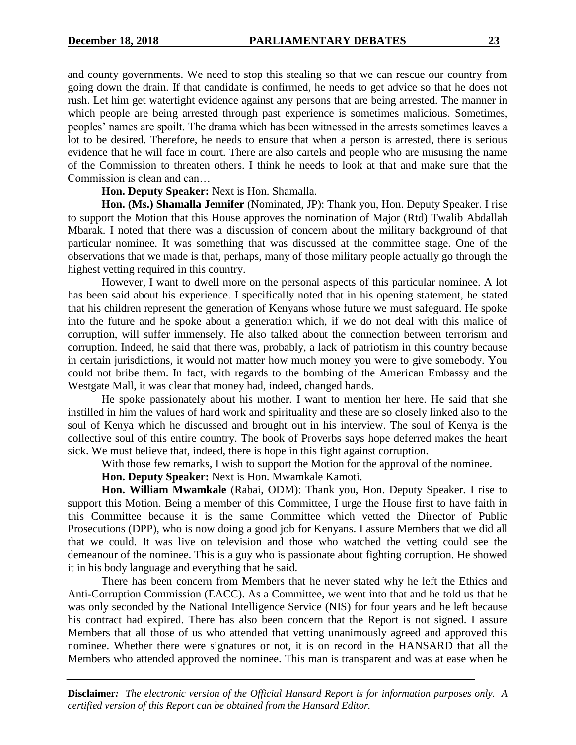and county governments. We need to stop this stealing so that we can rescue our country from going down the drain. If that candidate is confirmed, he needs to get advice so that he does not rush. Let him get watertight evidence against any persons that are being arrested. The manner in which people are being arrested through past experience is sometimes malicious. Sometimes, peoples' names are spoilt. The drama which has been witnessed in the arrests sometimes leaves a lot to be desired. Therefore, he needs to ensure that when a person is arrested, there is serious evidence that he will face in court. There are also cartels and people who are misusing the name of the Commission to threaten others. I think he needs to look at that and make sure that the Commission is clean and can…

#### **Hon. Deputy Speaker:** Next is Hon. Shamalla.

**Hon. (Ms.) Shamalla Jennifer** (Nominated, JP): Thank you, Hon. Deputy Speaker. I rise to support the Motion that this House approves the nomination of Major (Rtd) Twalib Abdallah Mbarak. I noted that there was a discussion of concern about the military background of that particular nominee. It was something that was discussed at the committee stage. One of the observations that we made is that, perhaps, many of those military people actually go through the highest vetting required in this country.

However, I want to dwell more on the personal aspects of this particular nominee. A lot has been said about his experience. I specifically noted that in his opening statement, he stated that his children represent the generation of Kenyans whose future we must safeguard. He spoke into the future and he spoke about a generation which, if we do not deal with this malice of corruption, will suffer immensely. He also talked about the connection between terrorism and corruption. Indeed, he said that there was, probably, a lack of patriotism in this country because in certain jurisdictions, it would not matter how much money you were to give somebody. You could not bribe them. In fact, with regards to the bombing of the American Embassy and the Westgate Mall, it was clear that money had, indeed, changed hands.

He spoke passionately about his mother. I want to mention her here. He said that she instilled in him the values of hard work and spirituality and these are so closely linked also to the soul of Kenya which he discussed and brought out in his interview. The soul of Kenya is the collective soul of this entire country. The book of Proverbs says hope deferred makes the heart sick. We must believe that, indeed, there is hope in this fight against corruption.

With those few remarks, I wish to support the Motion for the approval of the nominee.

**Hon. Deputy Speaker:** Next is Hon. Mwamkale Kamoti.

**Hon. William Mwamkale** (Rabai, ODM): Thank you, Hon. Deputy Speaker. I rise to support this Motion. Being a member of this Committee, I urge the House first to have faith in this Committee because it is the same Committee which vetted the Director of Public Prosecutions (DPP), who is now doing a good job for Kenyans. I assure Members that we did all that we could. It was live on television and those who watched the vetting could see the demeanour of the nominee. This is a guy who is passionate about fighting corruption. He showed it in his body language and everything that he said.

There has been concern from Members that he never stated why he left the Ethics and Anti-Corruption Commission (EACC). As a Committee, we went into that and he told us that he was only seconded by the National Intelligence Service (NIS) for four years and he left because his contract had expired. There has also been concern that the Report is not signed. I assure Members that all those of us who attended that vetting unanimously agreed and approved this nominee. Whether there were signatures or not, it is on record in the HANSARD that all the Members who attended approved the nominee. This man is transparent and was at ease when he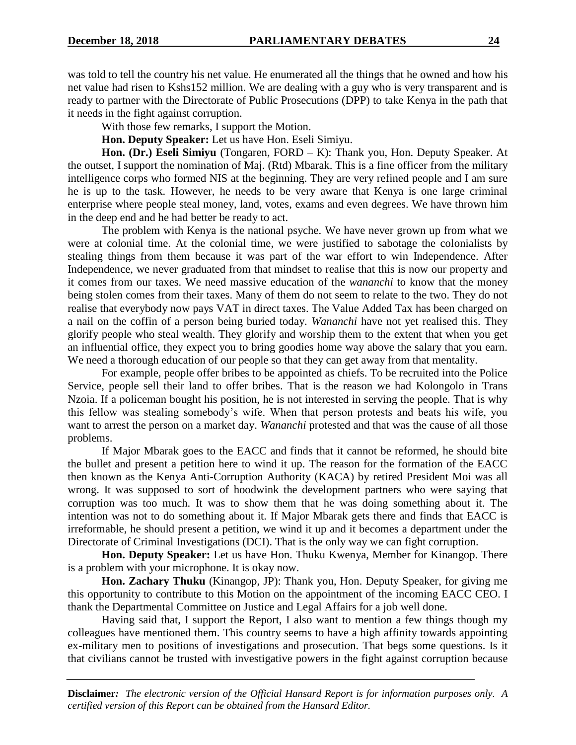was told to tell the country his net value. He enumerated all the things that he owned and how his net value had risen to Kshs152 million. We are dealing with a guy who is very transparent and is ready to partner with the Directorate of Public Prosecutions (DPP) to take Kenya in the path that it needs in the fight against corruption.

With those few remarks, I support the Motion.

**Hon. Deputy Speaker:** Let us have Hon. Eseli Simiyu.

**Hon. (Dr.) Eseli Simiyu** (Tongaren, FORD – K): Thank you, Hon. Deputy Speaker. At the outset, I support the nomination of Maj. (Rtd) Mbarak. This is a fine officer from the military intelligence corps who formed NIS at the beginning. They are very refined people and I am sure he is up to the task. However, he needs to be very aware that Kenya is one large criminal enterprise where people steal money, land, votes, exams and even degrees. We have thrown him in the deep end and he had better be ready to act.

The problem with Kenya is the national psyche. We have never grown up from what we were at colonial time. At the colonial time, we were justified to sabotage the colonialists by stealing things from them because it was part of the war effort to win Independence. After Independence, we never graduated from that mindset to realise that this is now our property and it comes from our taxes. We need massive education of the *wananchi* to know that the money being stolen comes from their taxes. Many of them do not seem to relate to the two. They do not realise that everybody now pays VAT in direct taxes. The Value Added Tax has been charged on a nail on the coffin of a person being buried today. *Wananchi* have not yet realised this. They glorify people who steal wealth. They glorify and worship them to the extent that when you get an influential office, they expect you to bring goodies home way above the salary that you earn. We need a thorough education of our people so that they can get away from that mentality.

For example, people offer bribes to be appointed as chiefs. To be recruited into the Police Service, people sell their land to offer bribes. That is the reason we had Kolongolo in Trans Nzoia. If a policeman bought his position, he is not interested in serving the people. That is why this fellow was stealing somebody's wife. When that person protests and beats his wife, you want to arrest the person on a market day. *Wananchi* protested and that was the cause of all those problems.

If Major Mbarak goes to the EACC and finds that it cannot be reformed, he should bite the bullet and present a petition here to wind it up. The reason for the formation of the EACC then known as the Kenya Anti-Corruption Authority (KACA) by retired President Moi was all wrong. It was supposed to sort of hoodwink the development partners who were saying that corruption was too much. It was to show them that he was doing something about it. The intention was not to do something about it. If Major Mbarak gets there and finds that EACC is irreformable, he should present a petition, we wind it up and it becomes a department under the Directorate of Criminal Investigations (DCI). That is the only way we can fight corruption.

**Hon. Deputy Speaker:** Let us have Hon. Thuku Kwenya, Member for Kinangop. There is a problem with your microphone. It is okay now.

**Hon. Zachary Thuku** (Kinangop, JP): Thank you, Hon. Deputy Speaker, for giving me this opportunity to contribute to this Motion on the appointment of the incoming EACC CEO. I thank the Departmental Committee on Justice and Legal Affairs for a job well done.

Having said that, I support the Report, I also want to mention a few things though my colleagues have mentioned them. This country seems to have a high affinity towards appointing ex-military men to positions of investigations and prosecution. That begs some questions. Is it that civilians cannot be trusted with investigative powers in the fight against corruption because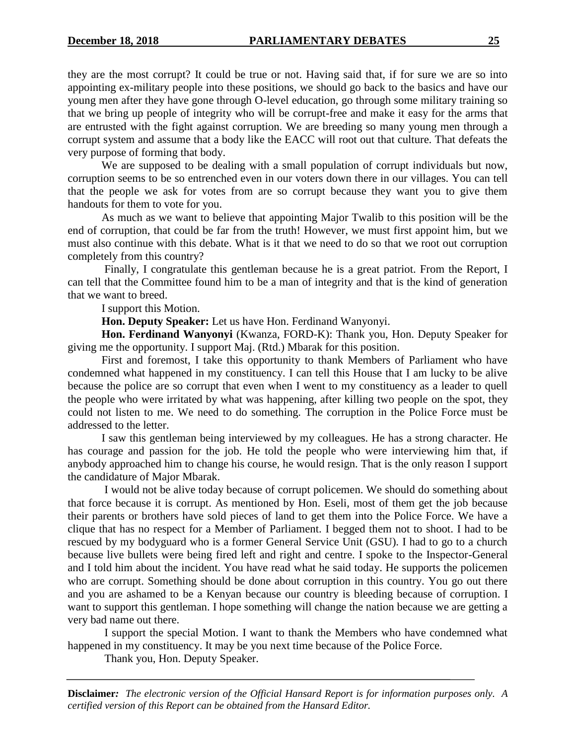they are the most corrupt? It could be true or not. Having said that, if for sure we are so into appointing ex-military people into these positions, we should go back to the basics and have our young men after they have gone through O-level education, go through some military training so that we bring up people of integrity who will be corrupt-free and make it easy for the arms that are entrusted with the fight against corruption. We are breeding so many young men through a corrupt system and assume that a body like the EACC will root out that culture. That defeats the very purpose of forming that body.

We are supposed to be dealing with a small population of corrupt individuals but now, corruption seems to be so entrenched even in our voters down there in our villages. You can tell that the people we ask for votes from are so corrupt because they want you to give them handouts for them to vote for you.

As much as we want to believe that appointing Major Twalib to this position will be the end of corruption, that could be far from the truth! However, we must first appoint him, but we must also continue with this debate. What is it that we need to do so that we root out corruption completely from this country?

Finally, I congratulate this gentleman because he is a great patriot. From the Report, I can tell that the Committee found him to be a man of integrity and that is the kind of generation that we want to breed.

I support this Motion.

**Hon. Deputy Speaker:** Let us have Hon. Ferdinand Wanyonyi.

**Hon. Ferdinand Wanyonyi** (Kwanza, FORD-K): Thank you, Hon. Deputy Speaker for giving me the opportunity. I support Maj. (Rtd.) Mbarak for this position.

First and foremost, I take this opportunity to thank Members of Parliament who have condemned what happened in my constituency. I can tell this House that I am lucky to be alive because the police are so corrupt that even when I went to my constituency as a leader to quell the people who were irritated by what was happening, after killing two people on the spot, they could not listen to me. We need to do something. The corruption in the Police Force must be addressed to the letter.

I saw this gentleman being interviewed by my colleagues. He has a strong character. He has courage and passion for the job. He told the people who were interviewing him that, if anybody approached him to change his course, he would resign. That is the only reason I support the candidature of Major Mbarak.

I would not be alive today because of corrupt policemen. We should do something about that force because it is corrupt. As mentioned by Hon. Eseli, most of them get the job because their parents or brothers have sold pieces of land to get them into the Police Force. We have a clique that has no respect for a Member of Parliament. I begged them not to shoot. I had to be rescued by my bodyguard who is a former General Service Unit (GSU). I had to go to a church because live bullets were being fired left and right and centre. I spoke to the Inspector-General and I told him about the incident. You have read what he said today. He supports the policemen who are corrupt. Something should be done about corruption in this country. You go out there and you are ashamed to be a Kenyan because our country is bleeding because of corruption. I want to support this gentleman. I hope something will change the nation because we are getting a very bad name out there.

I support the special Motion. I want to thank the Members who have condemned what happened in my constituency. It may be you next time because of the Police Force.

Thank you, Hon. Deputy Speaker.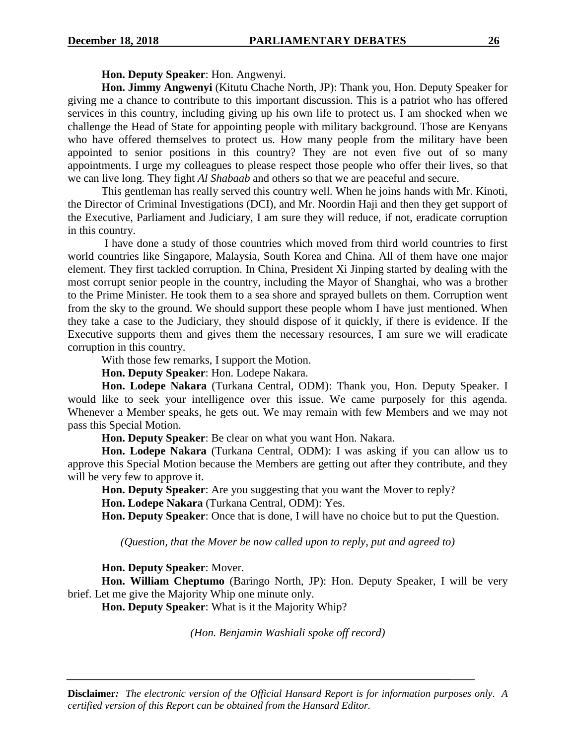**Hon. Deputy Speaker**: Hon. Angwenyi.

**Hon. Jimmy Angwenyi** (Kitutu Chache North, JP): Thank you, Hon. Deputy Speaker for giving me a chance to contribute to this important discussion. This is a patriot who has offered services in this country, including giving up his own life to protect us. I am shocked when we challenge the Head of State for appointing people with military background. Those are Kenyans who have offered themselves to protect us. How many people from the military have been appointed to senior positions in this country? They are not even five out of so many appointments. I urge my colleagues to please respect those people who offer their lives, so that we can live long. They fight *Al Shabaab* and others so that we are peaceful and secure.

This gentleman has really served this country well. When he joins hands with Mr. Kinoti, the Director of Criminal Investigations (DCI), and Mr. Noordin Haji and then they get support of the Executive, Parliament and Judiciary, I am sure they will reduce, if not, eradicate corruption in this country.

I have done a study of those countries which moved from third world countries to first world countries like Singapore, Malaysia, South Korea and China. All of them have one major element. They first tackled corruption. In China, President Xi Jinping started by dealing with the most corrupt senior people in the country, including the Mayor of Shanghai, who was a brother to the Prime Minister. He took them to a sea shore and sprayed bullets on them. Corruption went from the sky to the ground. We should support these people whom I have just mentioned. When they take a case to the Judiciary, they should dispose of it quickly, if there is evidence. If the Executive supports them and gives them the necessary resources, I am sure we will eradicate corruption in this country.

With those few remarks, I support the Motion.

**Hon. Deputy Speaker**: Hon. Lodepe Nakara.

**Hon. Lodepe Nakara** (Turkana Central, ODM): Thank you, Hon. Deputy Speaker. I would like to seek your intelligence over this issue. We came purposely for this agenda. Whenever a Member speaks, he gets out. We may remain with few Members and we may not pass this Special Motion.

**Hon. Deputy Speaker**: Be clear on what you want Hon. Nakara.

**Hon. Lodepe Nakara** (Turkana Central, ODM): I was asking if you can allow us to approve this Special Motion because the Members are getting out after they contribute, and they will be very few to approve it.

**Hon. Deputy Speaker**: Are you suggesting that you want the Mover to reply?

**Hon. Lodepe Nakara** (Turkana Central, ODM): Yes.

**Hon. Deputy Speaker**: Once that is done, I will have no choice but to put the Question.

*(Question, that the Mover be now called upon to reply, put and agreed to)*

**Hon. Deputy Speaker**: Mover.

**Hon. William Cheptumo** (Baringo North, JP): Hon. Deputy Speaker, I will be very brief. Let me give the Majority Whip one minute only.

**Hon. Deputy Speaker**: What is it the Majority Whip?

*(Hon. Benjamin Washiali spoke off record)*